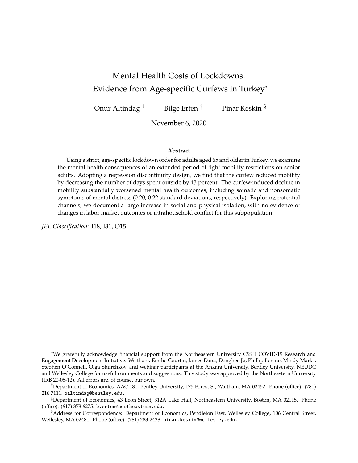# Mental Health Costs of Lockdowns: Evidence from Age-specific Curfews in Turkey<sup>∗</sup>

Onur Altindag<sup>†</sup> Bilge Erten<sup>‡</sup> Pinar Keskin §

November 6, 2020

#### **Abstract**

Using a strict, age-specific lockdown order for adults aged 65 and older in Turkey, we examine the mental health consequences of an extended period of tight mobility restrictions on senior adults. Adopting a regression discontinuity design, we find that the curfew reduced mobility by decreasing the number of days spent outside by 43 percent. The curfew-induced decline in mobility substantially worsened mental health outcomes, including somatic and nonsomatic symptoms of mental distress (0.20, 0.22 standard deviations, respectively). Exploring potential channels, we document a large increase in social and physical isolation, with no evidence of changes in labor market outcomes or intrahousehold conflict for this subpopulation.

*JEL Classification:* I18, I31, O15

<sup>∗</sup>We gratefully acknowledge financial support from the Northeastern University CSSH COVID-19 Research and Engagement Development Initiative. We thank Emilie Courtin, James Dana, Donghee Jo, Phillip Levine, Mindy Marks, Stephen O'Connell, Olga Shurchkov, and webinar participants at the Ankara University, Bentley University, NEUDC and Wellesley College for useful comments and suggestions. This study was approved by the Northeastern University (IRB 20-05-12). All errors are, of course, our own.

<sup>†</sup>Department of Economics, AAC 181, Bentley University, 175 Forest St, Waltham, MA 02452. Phone (office): (781) 216 7111. oaltindag@bentley.edu.

<sup>‡</sup>Department of Economics, 43 Leon Street, 312A Lake Hall, Northeastern University, Boston, MA 02115. Phone (office): (617) 373 6275. b.erten@northeastern.edu.

<sup>§</sup>Address for Correspondence: Department of Economics, Pendleton East, Wellesley College, 106 Central Street, Wellesley, MA 02481. Phone (office): (781) 283-2438. pinar.keskin@wellesley.edu.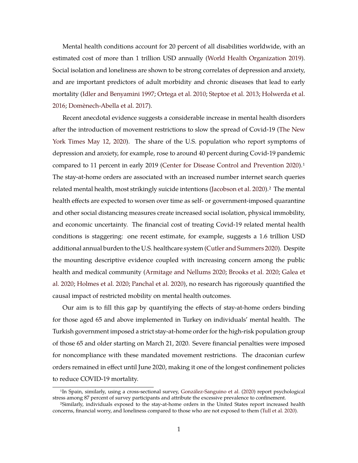Mental health conditions account for 20 percent of all disabilities worldwide, with an estimated cost of more than 1 trillion USD annually [\(World Health Organization](#page-20-0) [2019\)](#page-20-0). Social isolation and loneliness are shown to be strong correlates of depression and anxiety, and are important predictors of adult morbidity and chronic diseases that lead to early mortality [\(Idler and Benyamini](#page-18-0) [1997;](#page-18-0) [Ortega et al.](#page-19-0) [2010;](#page-19-0) [Steptoe et al.](#page-19-1) [2013;](#page-19-1) [Holwerda et al.](#page-18-1) [2016;](#page-18-1) [Domènech-Abella et al.](#page-17-0) [2017\)](#page-17-0).

Recent anecdotal evidence suggests a considerable increase in mental health disorders after the introduction of movement restrictions to slow the spread of Covid-19 [\(The New](#page-19-2) [York Times](#page-19-2) [May 12, 2020\)](#page-19-2). The share of the U.S. population who report symptoms of depression and anxiety, for example, rose to around 40 percent during Covid-19 pandemic compared to 11 percent in early 2019 [\(Center for Disease Control and Prevention](#page-16-0) [2020\)](#page-16-0).<sup>1</sup> The stay-at-home orders are associated with an increased number internet search queries related mental health, most strikingly suicide intentions [\(Jacobson et al.](#page-18-2) [2020\)](#page-18-2).<sup>2</sup> The mental health effects are expected to worsen over time as self- or government-imposed quarantine and other social distancing measures create increased social isolation, physical immobility, and economic uncertainty. The financial cost of treating Covid-19 related mental health conditions is staggering: one recent estimate, for example, suggests a 1.6 trillion USD additional annual burden to the U.S. healthcare system [\(Cutler and Summers](#page-17-1) [2020\)](#page-17-1). Despite the mounting descriptive evidence coupled with increasing concern among the public health and medical community [\(Armitage and Nellums](#page-16-1) [2020;](#page-16-1) [Brooks et al.](#page-16-2) [2020;](#page-16-2) [Galea et](#page-17-2) [al.](#page-17-2) [2020;](#page-17-2) [Holmes et al.](#page-18-3) [2020;](#page-18-3) [Panchal et al.](#page-19-3) [2020\)](#page-19-3), no research has rigorously quantified the causal impact of restricted mobility on mental health outcomes.

Our aim is to fill this gap by quantifying the effects of stay-at-home orders binding for those aged 65 and above implemented in Turkey on individuals' mental health. The Turkish government imposed a strict stay-at-home order for the high-risk population group of those 65 and older starting on March 21, 2020. Severe financial penalties were imposed for noncompliance with these mandated movement restrictions. The draconian curfew orders remained in effect until June 2020, making it one of the longest confinement policies to reduce COVID-19 mortality.

<sup>&</sup>lt;sup>1</sup>In Spain, similarly, using a cross-sectional survey, [González-Sanguino et al.](#page-17-3) [\(2020\)](#page-17-3) report psychological stress among 87 percent of survey participants and attribute the excessive prevalence to confinement.

<sup>2</sup>Similarly, individuals exposed to the stay-at-home orders in the United States report increased health concerns, financial worry, and loneliness compared to those who are not exposed to them [\(Tull et al.](#page-20-1) [2020\)](#page-20-1).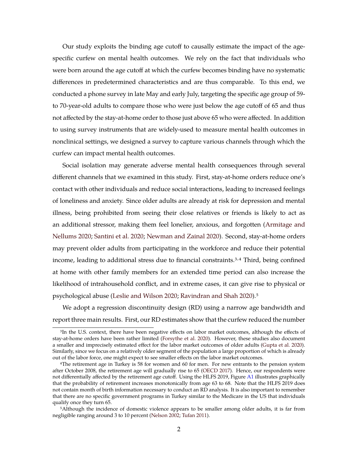Our study exploits the binding age cutoff to causally estimate the impact of the agespecific curfew on mental health outcomes. We rely on the fact that individuals who were born around the age cutoff at which the curfew becomes binding have no systematic differences in predetermined characteristics and are thus comparable. To this end, we conducted a phone survey in late May and early July, targeting the specific age group of 59 to 70-year-old adults to compare those who were just below the age cutoff of 65 and thus not affected by the stay-at-home order to those just above 65 who were affected. In addition to using survey instruments that are widely-used to measure mental health outcomes in nonclinical settings, we designed a survey to capture various channels through which the curfew can impact mental health outcomes.

Social isolation may generate adverse mental health consequences through several different channels that we examined in this study. First, stay-at-home orders reduce one's contact with other individuals and reduce social interactions, leading to increased feelings of loneliness and anxiety. Since older adults are already at risk for depression and mental illness, being prohibited from seeing their close relatives or friends is likely to act as an additional stressor, making them feel lonelier, anxious, and forgotten [\(Armitage and](#page-16-1) [Nellums](#page-16-1) [2020;](#page-16-1) [Santini et al.](#page-19-4) [2020;](#page-19-4) [Newman and Zainal](#page-19-5) [2020\)](#page-19-5). Second, stay-at-home orders may prevent older adults from participating in the workforce and reduce their potential income, leading to additional stress due to financial constraints.<sup>3,4</sup> Third, being confined at home with other family members for an extended time period can also increase the likelihood of intrahousehold conflict, and in extreme cases, it can give rise to physical or psychological abuse [\(Leslie and Wilson](#page-18-4) [2020;](#page-18-4) [Ravindran and Shah](#page-19-6) [2020\)](#page-19-6).5

We adopt a regression discontinuity design (RD) using a narrow age bandwidth and report three main results. First, our RD estimates show that the curfew reduced the number

<sup>&</sup>lt;sup>3</sup>In the U.S. context, there have been negative effects on labor market outcomes, although the effects of stay-at-home orders have been rather limited [\(Forsythe et al.](#page-17-4) [2020\)](#page-17-4). However, these studies also document a smaller and imprecisely estimated effect for the labor market outcomes of older adults [\(Gupta et al.](#page-17-5) [2020\)](#page-17-5). Similarly, since we focus on a relatively older segment of the population a large proportion of which is already out of the labor force, one might expect to see smaller effects on the labor market outcomes.

<sup>4</sup>The retirement age in Turkey is 58 for women and 60 for men. For new entrants to the pension system after October 2008, the retirement age will gradually rise to 65 [\(OECD](#page-19-7) [2017\)](#page-19-7). Hence, our respondents were not differentially affected by the retirement age cutoff. Using the HLFS 2019, Figure [A1](#page-29-0) illustrates graphically that the probability of retirement increases monotonically from age 63 to 68. Note that the HLFS 2019 does not contain month of birth information necessary to conduct an RD analysis. It is also important to remember that there are no specific government programs in Turkey similar to the Medicare in the US that individuals qualify once they turn 65.

<sup>5</sup>Although the incidence of domestic violence appears to be smaller among older adults, it is far from negligible ranging around 3 to 10 percent [\(Nelson](#page-19-8) [2002;](#page-19-8) [Tufan](#page-19-9) [2011\)](#page-19-9).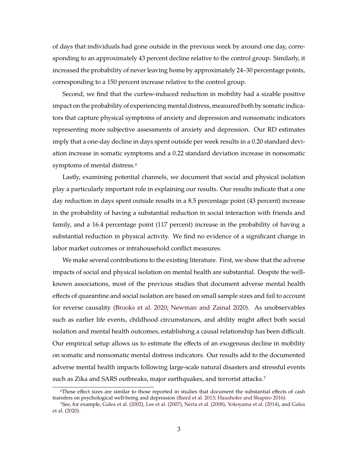of days that individuals had gone outside in the previous week by around one day, corresponding to an approximately 43 percent decline relative to the control group. Similarly, it increased the probability of never leaving home by approximately 24–30 percentage points, corresponding to a 150 percent increase relative to the control group.

Second, we find that the curfew-induced reduction in mobility had a sizable positive impact on the probability of experiencing mental distress, measured both by somatic indicators that capture physical symptoms of anxiety and depression and nonsomatic indicators representing more subjective assessments of anxiety and depression. Our RD estimates imply that a one-day decline in days spent outside per week results in a 0.20 standard deviation increase in somatic symptoms and a 0.22 standard deviation increase in nonsomatic symptoms of mental distress.<sup>6</sup>

Lastly, examining potential channels, we document that social and physical isolation play a particularly important role in explaining our results. Our results indicate that a one day reduction in days spent outside results in a 8.5 percentage point (43 percent) increase in the probability of having a substantial reduction in social interaction with friends and family, and a 16.4 percentage point (117 percent) increase in the probability of having a substantial reduction in physical activity. We find no evidence of a significant change in labor market outcomes or intrahousehold conflict measures.

We make several contributions to the existing literature. First, we show that the adverse impacts of social and physical isolation on mental health are substantial. Despite the wellknown associations, most of the previous studies that document adverse mental health effects of quarantine and social isolation are based on small sample sizes and fail to account for reverse causality [\(Brooks et al.](#page-16-2) [2020;](#page-16-2) [Newman and Zainal](#page-19-5) [2020\)](#page-19-5). As unobservables such as earlier life events, childhood circumstances, and ability might affect both social isolation and mental health outcomes, establishing a causal relationship has been difficult. Our empirical setup allows us to estimate the effects of an exogenous decline in mobility on somatic and nonsomatic mental distress indicators. Our results add to the documented adverse mental health impacts following large-scale natural disasters and stressful events such as Zika and SARS outbreaks, major earthquakes, and terrorist attacks.<sup>7</sup>

<sup>6</sup>These effect sizes are similar to those reported in studies that document the substantial effects of cash transfers on psychological well-being and depression [\(Baird et al.](#page-16-3) [2013;](#page-16-3) [Haushofer and Shapiro](#page-18-5) [2016\)](#page-18-5).

<sup>7</sup>See, for example, [Galea et al.](#page-17-6) [\(2002\)](#page-17-6), [Lee et al.](#page-18-6) [\(2007\)](#page-18-6), [Neria et al.](#page-19-10) [\(2008\)](#page-19-10), [Yokoyama et al.](#page-20-2) [\(2014\)](#page-20-2), and [Galea](#page-17-2) [et al.](#page-17-2) [\(2020\)](#page-17-2).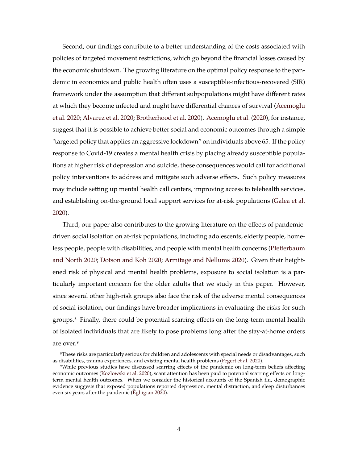Second, our findings contribute to a better understanding of the costs associated with policies of targeted movement restrictions, which go beyond the financial losses caused by the economic shutdown. The growing literature on the optimal policy response to the pandemic in economics and public health often uses a susceptible-infectious-recovered (SIR) framework under the assumption that different subpopulations might have different rates at which they become infected and might have differential chances of survival [\(Acemoglu](#page-16-4) [et al.](#page-16-4) [2020;](#page-16-4) [Alvarez et al.](#page-16-5) [2020;](#page-16-5) [Brotherhood et al.](#page-16-6) [2020\)](#page-16-6). [Acemoglu et al.](#page-16-4) [\(2020\)](#page-16-4), for instance, suggest that it is possible to achieve better social and economic outcomes through a simple "targeted policy that applies an aggressive lockdown" on individuals above 65. If the policy response to Covid-19 creates a mental health crisis by placing already susceptible populations at higher risk of depression and suicide, these consequences would call for additional policy interventions to address and mitigate such adverse effects. Such policy measures may include setting up mental health call centers, improving access to telehealth services, and establishing on-the-ground local support services for at-risk populations [\(Galea et al.](#page-17-2) [2020\)](#page-17-2).

Third, our paper also contributes to the growing literature on the effects of pandemicdriven social isolation on at-risk populations, including adolescents, elderly people, homeless people, people with disabilities, and people with mental health concerns [\(Pfefferbaum](#page-19-11) [and North](#page-19-11) [2020;](#page-19-11) [Dotson and Koh](#page-19-12) [2020;](#page-19-12) [Armitage and Nellums](#page-16-1) [2020\)](#page-16-1). Given their heightened risk of physical and mental health problems, exposure to social isolation is a particularly important concern for the older adults that we study in this paper. However, since several other high-risk groups also face the risk of the adverse mental consequences of social isolation, our findings have broader implications in evaluating the risks for such groups.8 Finally, there could be potential scarring effects on the long-term mental health of isolated individuals that are likely to pose problems long after the stay-at-home orders are over.<sup>9</sup>

<sup>8</sup>These risks are particularly serious for children and adolescents with special needs or disadvantages, such as disabilities, trauma experiences, and existing mental health problems [\(Fegert et al.](#page-17-7) [2020\)](#page-17-7).

<sup>9</sup>While previous studies have discussed scarring effects of the pandemic on long-term beliefs affecting economic outcomes [\(Kozlowski et al.](#page-18-7) [2020\)](#page-18-7), scant attention has been paid to potential scarring effects on longterm mental health outcomes. When we consider the historical accounts of the Spanish flu, demographic evidence suggests that exposed populations reported depression, mental distraction, and sleep disturbances even six years after the pandemic [\(Eghigian](#page-17-8) [2020\)](#page-17-8).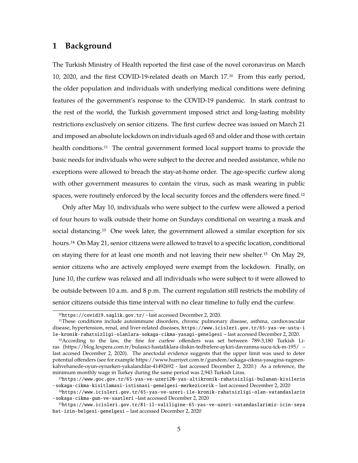## <span id="page-5-0"></span>**1 Background**

The Turkish Ministry of Health reported the first case of the novel coronavirus on March 10, 2020, and the first COVID-19-related death on March 17.10 From this early period, the older population and individuals with underlying medical conditions were defining features of the government's response to the COVID-19 pandemic. In stark contrast to the rest of the world, the Turkish government imposed strict and long-lasting mobility restrictions exclusively on senior citizens. The first curfew decree was issued on March 21 and imposed an absolute lockdown on individuals aged 65 and older and those with certain health conditions.<sup>11</sup> The central government formed local support teams to provide the basic needs for individuals who were subject to the decree and needed assistance, while no exceptions were allowed to breach the stay-at-home order. The age-specific curfew along with other government measures to contain the virus, such as mask wearing in public spaces, were routinely enforced by the local security forces and the offenders were fined.<sup>12</sup>

Only after May 10, individuals who were subject to the curfew were allowed a period of four hours to walk outside their home on Sundays conditional on wearing a mask and social distancing.<sup>13</sup> One week later, the government allowed a similar exception for six hours.<sup>14</sup> On May 21, senior citizens were allowed to travel to a specific location, conditional on staying there for at least one month and not leaving their new shelter.15 On May 29, senior citizens who are actively employed were exempt from the lockdown. Finally, on June 10, the curfew was relaxed and all individuals who were subject to it were allowed to be outside between 10 a.m. and 8 p.m. The current regulation still restricts the mobility of senior citizens outside this time interval with no clear timeline to fully end the curfew.

<sup>10</sup><https://covid19.saglik.gov.tr/> - last accessed December 2, 2020.

<sup>11</sup>These conditions include autoimmune disorders, chronic pulmonary disease, asthma, cardiovascular disease, hypertension, renal, and liver-related diseases, [https://www.icisleri.gov.tr/65-yas-ve-ustu-i](https://www.icisleri.gov.tr/65-yas-ve-ustu-ile-kronik-rahatsizligi-olanlara-sokaga-cikma-yasagi-genelgesi) [le-kronik-rahatsizligi-olanlara-sokaga-cikma-yasagi-genelgesi](https://www.icisleri.gov.tr/65-yas-ve-ustu-ile-kronik-rahatsizligi-olanlara-sokaga-cikma-yasagi-genelgesi) – last accessed December 2, 2020.

<sup>12</sup>According to the law, the fine for curfew offenders was set between 789-3,180 Turkish Liras (https://blog.lexpera.com.tr/bulasici-hastaliklara-iliskin-tedbirlere-aykiri-davranma-sucu-tck-m-195/ – last accesed December 2, 2020). The anectodal evidence suggests that the upper limit was used to deter potential offenders (see for example https://www.hurriyet.com.tr/gundem/sokaga-cikma-yasagina-ragmenkahvehanede-oyun-oynarken-yakalandilar-41492692 - last accessed December 2, 2020.) As a reference, the minimum monthly wage in Turkey during the same period was 2,943 Turkish Liras.

<sup>13</sup>[https://www.goc.gov.tr/65-yas-ve-uzeri20-yas-altikronik-rahatsizligi-bulunan-kisilerin](https://www.goc.gov.tr/65-yas-ve-uzeri20-yas-altikronik-rahatsizligi-bulunan-kisilerin-sokaga-cikma-kisitlamasi-istisnasi-genelgesi-merkezicerik) [-sokaga-cikma-kisitlamasi-istisnasi-genelgesi-merkezicerik](https://www.goc.gov.tr/65-yas-ve-uzeri20-yas-altikronik-rahatsizligi-bulunan-kisilerin-sokaga-cikma-kisitlamasi-istisnasi-genelgesi-merkezicerik) – last accessed December 2, 2020

<sup>14</sup>[https://www.icisleri.gov.tr/65-yas-ve-uzeri-ile-kronik-rahatsizligi-olan-vatandaslarin](https://www.icisleri.gov.tr/65-yas-ve-uzeri-ile-kronik-rahatsizligi-olan-vatandaslarin-sokaga-cikma-gun-ve-saatleri) [-sokaga-cikma-gun-ve-saatleri](https://www.icisleri.gov.tr/65-yas-ve-uzeri-ile-kronik-rahatsizligi-olan-vatandaslarin-sokaga-cikma-gun-ve-saatleri) –last accessed December 2, 2020

<sup>15</sup>[https://www.icisleri.gov.tr/81-il-valiligine-65-yas-ve-uzeri-vatandaslarimiz-icin-seya](https://www.icisleri.gov.tr/81-il-valiligine-65-yas-ve-uzeri-vatandaslarimiz-icin-seyahat-izin-belgesi-genelgesi) [hat-izin-belgesi-genelgesi](https://www.icisleri.gov.tr/81-il-valiligine-65-yas-ve-uzeri-vatandaslarimiz-icin-seyahat-izin-belgesi-genelgesi) – last accessed December 2, 2020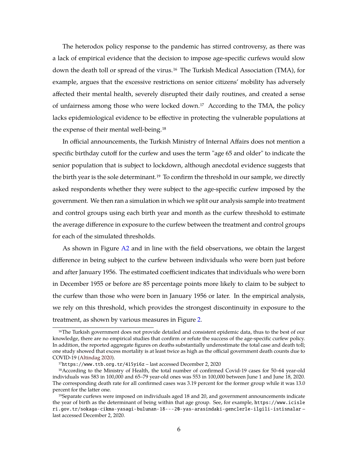The heterodox policy response to the pandemic has stirred controversy, as there was a lack of empirical evidence that the decision to impose age-specific curfews would slow down the death toll or spread of the virus.16 The Turkish Medical Association (TMA), for example, argues that the excessive restrictions on senior citizens' mobility has adversely affected their mental health, severely disrupted their daily routines, and created a sense of unfairness among those who were locked down.17 According to the TMA, the policy lacks epidemiological evidence to be effective in protecting the vulnerable populations at the expense of their mental well-being.18

In official announcements, the Turkish Ministry of Internal Affairs does not mention a specific birthday cutoff for the curfew and uses the term "age 65 and older" to indicate the senior population that is subject to lockdown, although anecdotal evidence suggests that the birth year is the sole determinant.<sup>19</sup> To confirm the threshold in our sample, we directly asked respondents whether they were subject to the age-specific curfew imposed by the government. We then ran a simulation in which we split our analysis sample into treatment and control groups using each birth year and month as the curfew threshold to estimate the average difference in exposure to the curfew between the treatment and control groups for each of the simulated thresholds.

As shown in Figure [A2](#page-30-0) and in line with the field observations, we obtain the largest difference in being subject to the curfew between individuals who were born just before and after January 1956. The estimated coefficient indicates that individuals who were born in December 1955 or before are 85 percentage points more likely to claim to be subject to the curfew than those who were born in January 1956 or later. In the empirical analysis, we rely on this threshold, which provides the strongest discontinuity in exposure to the treatment, as shown by various measures in Figure [2.](#page-22-0)

<sup>16</sup>The Turkish government does not provide detailed and consistent epidemic data, thus to the best of our knowledge, there are no empirical studies that confirm or refute the success of the age-specific curfew policy. In addition, the reported aggregate figures on deaths substantially underestimate the total case and death toll; one study showed that excess mortality is at least twice as high as the official government death counts due to COVID-19 [\(Altindag](#page-16-7) [2020\)](#page-16-7).

<sup>17</sup><https://www.ttb.org.tr/415yi6z> – last accessed December 2, 2020

<sup>18</sup>According to the Ministry of Health, the total number of confirmed Covid-19 cases for 50–64 year-old individuals was 583 in 100,000 and 65–79 year-old ones was 553 in 100,000 between June 1 and June 18, 2020. The corresponding death rate for all confirmed cases was 3.19 percent for the former group while it was 13.0 percent for the latter one.

<sup>19</sup>Separate curfews were imposed on individuals aged 18 and 20, and government announcements indicate the year of birth as the determinant of being within that age group. See, for example, [https://www.icisle](https://www.icisleri.gov.tr/sokaga-cikma-yasagi-bulunan-18---20-yas-arasindaki-genclerle-ilgili-istisnalar) [ri.gov.tr/sokaga-cikma-yasagi-bulunan-18---20-yas-arasindaki-genclerle-ilgili-istisnalar](https://www.icisleri.gov.tr/sokaga-cikma-yasagi-bulunan-18---20-yas-arasindaki-genclerle-ilgili-istisnalar) – last accessed December 2, 2020.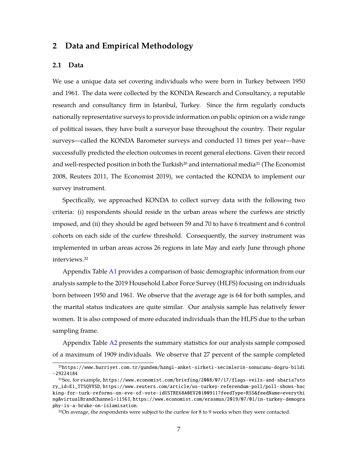## **2 Data and Empirical Methodology**

#### **2.1 Data**

We use a unique data set covering individuals who were born in Turkey between 1950 and 1961. The data were collected by the KONDA Research and Consultancy, a reputable research and consultancy firm in Istanbul, Turkey. Since the firm regularly conducts nationally representative surveys to provide information on public opinion on a wide range of political issues, they have built a surveyor base throughout the country. Their regular surveys—called the KONDA Barometer surveys and conducted 11 times per year—have successfully predicted the election outcomes in recent general elections. Given their record and well-respected position in both the Turkish<sup>20</sup> and international media<sup>21</sup> (The Economist 2008, Reuters 2011, The Economist 2019), we contacted the KONDA to implement our survey instrument.

Specifically, we approached KONDA to collect survey data with the following two criteria: (i) respondents should reside in the urban areas where the curfews are strictly imposed, and (ii) they should be aged between 59 and 70 to have 6 treatment and 6 control cohorts on each side of the curfew threshold. Consequently, the survey instrument was implemented in urban areas across 26 regions in late May and early June through phone interviews.22

Appendix Table [A1](#page-32-0) provides a comparison of basic demographic information from our analysis sample to the 2019 Household Labor Force Survey (HLFS) focusing on individuals born between 1950 and 1961. We observe that the average age is 64 for both samples, and the marital status indicators are quite similar. Our analysis sample has relatively fewer women. It is also composed of more educated individuals than the HLFS due to the urban sampling frame.

Appendix Table [A2](#page-33-0) presents the summary statistics for our analysis sample composed of a maximum of 1909 individuals. We observe that 27 percent of the sample completed

<sup>20</sup>[https://www.hurriyet.com.tr/gundem/hangi-anket-sirketi-secimlerin-sonucunu-dogru-bildi](https://www.hurriyet.com.tr/gundem/hangi-anket-sirketi-secimlerin-sonucunu-dogru-bildi-29224184) [-29224184](https://www.hurriyet.com.tr/gundem/hangi-anket-sirketi-secimlerin-sonucunu-dogru-bildi-29224184)

<sup>21</sup>See, for example, [https://www.economist.com/briefing/2008/07/17/flags-veils-and-sharia?sto](https://www.economist.com/briefing/2008/07/17/flags-veils-and-sharia?story_id=E1_TTSQVVSD) [ry\\_id=E1\\_TTSQVVSD](https://www.economist.com/briefing/2008/07/17/flags-veils-and-sharia?story_id=E1_TTSQVVSD), [https://www.reuters.com/article/us-turkey-referendum-poll/poll-shows-bac](https://www.reuters.com/article/us-turkey-referendum-poll/poll-shows-backing-for-turk-reforms-on-eve-of-vote-idUSTRE68A0EV20100911?feedType=RSS&feedName=everything&virtualBrandChannel=11563) [king-for-turk-reforms-on-eve-of-vote-idUSTRE68A0EV20100911?feedType=RSS&feedName=everythi](https://www.reuters.com/article/us-turkey-referendum-poll/poll-shows-backing-for-turk-reforms-on-eve-of-vote-idUSTRE68A0EV20100911?feedType=RSS&feedName=everything&virtualBrandChannel=11563) [ng&virtualBrandChannel=11563](https://www.reuters.com/article/us-turkey-referendum-poll/poll-shows-backing-for-turk-reforms-on-eve-of-vote-idUSTRE68A0EV20100911?feedType=RSS&feedName=everything&virtualBrandChannel=11563), [https://www.economist.com/erasmus/2019/07/01/in-turkey-demogra](https://www.economist.com/erasmus/2019/07/01/in-turkey-demography-is-a-brake-on-islamisation) [phy-is-a-brake-on-islamisation](https://www.economist.com/erasmus/2019/07/01/in-turkey-demography-is-a-brake-on-islamisation).

 $22$ On average, the respondents were subject to the curfew for 8 to 9 weeks when they were contacted.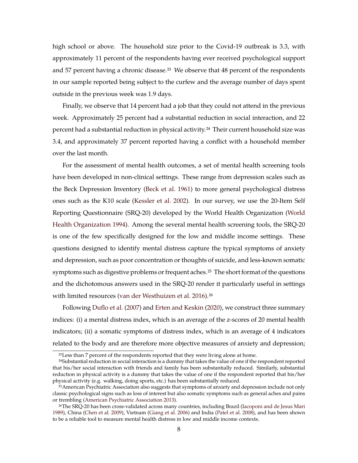high school or above. The household size prior to the Covid-19 outbreak is 3.3, with approximately 11 percent of the respondents having ever received psychological support and 57 percent having a chronic disease.<sup>23</sup> We observe that  $48$  percent of the respondents in our sample reported being subject to the curfew and the average number of days spent outside in the previous week was 1.9 days.

Finally, we observe that 14 percent had a job that they could not attend in the previous week. Approximately 25 percent had a substantial reduction in social interaction, and 22 percent had a substantial reduction in physical activity.<sup>24</sup> Their current household size was 3.4, and approximately 37 percent reported having a conflict with a household member over the last month.

For the assessment of mental health outcomes, a set of mental health screening tools have been developed in non-clinical settings. These range from depression scales such as the Beck Depression Inventory [\(Beck et al.](#page-16-8) [1961\)](#page-16-8) to more general psychological distress ones such as the K10 scale [\(Kessler et al.](#page-18-8) [2002\)](#page-18-8). In our survey, we use the 20-Item Self Reporting Questionnaire (SRQ-20) developed by the World Health Organization [\(World](#page-20-3) [Health Organization](#page-20-3) [1994\)](#page-20-3). Among the several mental health screening tools, the SRQ-20 is one of the few specifically designed for the low and middle income settings. These questions designed to identify mental distress capture the typical symptoms of anxiety and depression, such as poor concentration or thoughts of suicide, and less-known somatic symptoms such as digestive problems or frequent aches.<sup>25</sup> The short format of the questions and the dichotomous answers used in the SRQ-20 render it particularly useful in settings with limited resources [\(van der Westhuizen et al.](#page-20-4) [2016\)](#page-20-4).<sup>26</sup>

Following [Duflo et al.](#page-17-9) [\(2007\)](#page-17-9) and [Erten and Keskin](#page-17-10) [\(2020\)](#page-17-10), we construct three summary indices: (i) a mental distress index, which is an average of the z-scores of 20 mental health indicators; (ii) a somatic symptoms of distress index, which is an average of 4 indicators related to the body and are therefore more objective measures of anxiety and depression;

<sup>23</sup>Less than 7 percent of the respondents reported that they were living alone at home.

<sup>24</sup>Substantial reduction in social interaction is a dummy that takes the value of one if the respondent reported that his/her social interaction with friends and family has been substantially reduced. Similarly, substantial reduction in physical activity is a dummy that takes the value of one if the respondent reported that his/her physical activity (e.g. walking, doing sports, etc.) has been substantially reduced.

<sup>25</sup>American Psychiatric Association also suggests that symptoms of anxiety and depression include not only classic psychological signs such as loss of interest but also somatic symptoms such as general aches and pains or trembling [\(American Psychiatric Association](#page-16-9) [2013\)](#page-16-9).

<sup>26</sup>The SRQ-20 has been cross-validated across many countries, including Brazil [\(Iacoponi and de Jesus Mari](#page-18-9) [1989\)](#page-18-9), China [\(Chen et al.](#page-16-10) [2009\)](#page-16-10), Vietnam [\(Giang et al.](#page-17-11) [2006\)](#page-17-11) and India [\(Patel et al.](#page-19-13) [2008\)](#page-19-13), and has been shown to be a reliable tool to measure mental health distress in low and middle income contexts.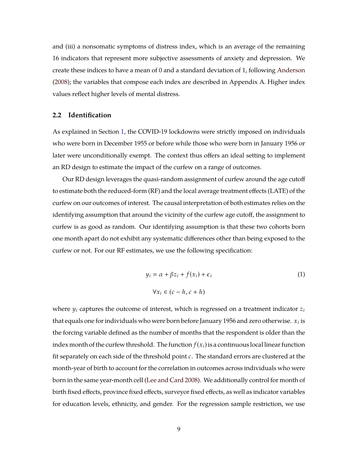and (iii) a nonsomatic symptoms of distress index, which is an average of the remaining 16 indicators that represent more subjective assessments of anxiety and depression. We create these indices to have a mean of 0 and a standard deviation of 1, following [Anderson](#page-16-11) [\(2008\)](#page-16-11); the variables that compose each index are described in Appendix A. Higher index values reflect higher levels of mental distress.

#### **2.2 Identification**

As explained in Section [1,](#page-5-0) the COVID-19 lockdowns were strictly imposed on individuals who were born in December 1955 or before while those who were born in January 1956 or later were unconditionally exempt. The context thus offers an ideal setting to implement an RD design to estimate the impact of the curfew on a range of outcomes.

Our RD design leverages the quasi-random assignment of curfew around the age cutoff to estimate both the reduced-form (RF) and the local average treatment effects (LATE) of the curfew on our outcomes of interest. The causal interpretation of both estimates relies on the identifying assumption that around the vicinity of the curfew age cutoff, the assignment to curfew is as good as random. Our identifying assumption is that these two cohorts born one month apart do not exhibit any systematic differences other than being exposed to the curfew or not. For our RF estimates, we use the following specification:

$$
y_i = \alpha + \beta z_i + f(x_i) + \epsilon_i
$$
  
\n
$$
\forall x_i \in (c - h, c + h)
$$
 (1)

where  $y_i$  captures the outcome of interest, which is regressed on a treatment indicator  $z_i$ that equals one for individuals who were born before January 1956 and zero otherwise.  $x_i$  is the forcing variable defined as the number of months that the respondent is older than the index month of the curfew threshold. The function  $f(x_i)$  is a continuous local linear function fit separately on each side of the threshold point  $c$ . The standard errors are clustered at the month-year of birth to account for the correlation in outcomes across individuals who were born in the same year-month cell [\(Lee and Card](#page-18-10) [2008\)](#page-18-10). We additionally control for month of birth fixed effects, province fixed effects, surveyor fixed effects, as well as indicator variables for education levels, ethnicity, and gender. For the regression sample restriction, we use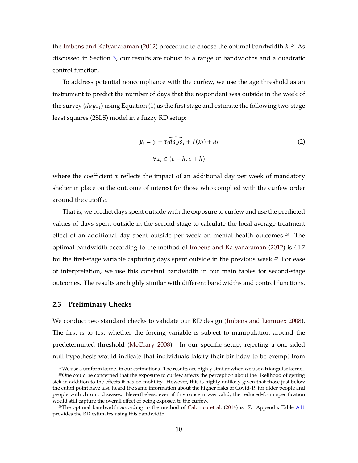the [Imbens and Kalyanaraman](#page-18-11) [\(2012\)](#page-18-11) procedure to choose the optimal bandwidth  $h^{27}$  As discussed in Section [3,](#page-11-0) our results are robust to a range of bandwidths and a quadratic control function.

To address potential noncompliance with the curfew, we use the age threshold as an instrument to predict the number of days that the respondent was outside in the week of the survey  $(days_i)$  using Equation (1) as the first stage and estimate the following two-stage least squares (2SLS) model in a fuzzy RD setup:

$$
y_i = \gamma + \tau_i \widehat{days}_i + f(x_i) + u_i
$$
  

$$
\forall x_i \in (c - h, c + h)
$$
 (2)

where the coefficient  $\tau$  reflects the impact of an additional day per week of mandatory shelter in place on the outcome of interest for those who complied with the curfew order around the cutoff  $c$ .

That is, we predict days spent outside with the exposure to curfew and use the predicted values of days spent outside in the second stage to calculate the local average treatment effect of an additional day spent outside per week on mental health outcomes.<sup>28</sup> The optimal bandwidth according to the method of [Imbens and Kalyanaraman](#page-18-11) [\(2012\)](#page-18-11) is 44.7 for the first-stage variable capturing days spent outside in the previous week.<sup>29</sup> For ease of interpretation, we use this constant bandwidth in our main tables for second-stage outcomes. The results are highly similar with different bandwidths and control functions.

#### **2.3 Preliminary Checks**

We conduct two standard checks to validate our RD design [\(Imbens and Lemiuex](#page-18-12) [2008\)](#page-18-12). The first is to test whether the forcing variable is subject to manipulation around the predetermined threshold [\(McCrary](#page-19-14) [2008\)](#page-19-14). In our specific setup, rejecting a one-sided null hypothesis would indicate that individuals falsify their birthday to be exempt from

<sup>27</sup>We use a uniform kernel in our estimations. The results are highly similar when we use a triangular kernel.

<sup>&</sup>lt;sup>28</sup>One could be concerned that the exposure to curfew affects the perception about the likelihood of getting sick in addition to the effects it has on mobility. However, this is highly unlikely given that those just below the cutoff point have also heard the same information about the higher risks of Covid-19 for older people and people with chronic diseases. Nevertheless, even if this concern was valid, the reduced-form specification would still capture the overall effect of being exposed to the curfew.

<sup>29</sup>The optimal bandwidth according to the method of [Calonico et al.](#page-16-12) [\(2014\)](#page-16-12) is 17. Appendix Table [A11](#page-42-0) provides the RD estimates using this bandwidth.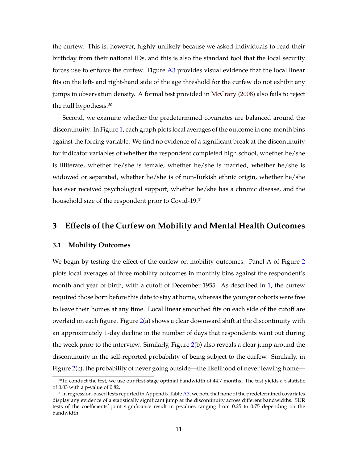the curfew. This is, however, highly unlikely because we asked individuals to read their birthday from their national IDs, and this is also the standard tool that the local security forces use to enforce the curfew. Figure [A3](#page-31-0) provides visual evidence that the local linear fits on the left- and right-hand side of the age threshold for the curfew do not exhibit any jumps in observation density. A formal test provided in [McCrary](#page-19-14) [\(2008\)](#page-19-14) also fails to reject the null hypothesis.30

Second, we examine whether the predetermined covariates are balanced around the discontinuity. In Figure [1,](#page-21-0) each graph plots local averages of the outcome in one-month bins against the forcing variable. We find no evidence of a significant break at the discontinuity for indicator variables of whether the respondent completed high school, whether he/she is illiterate, whether he/she is female, whether he/she is married, whether he/she is widowed or separated, whether he/she is of non-Turkish ethnic origin, whether he/she has ever received psychological support, whether he/she has a chronic disease, and the household size of the respondent prior to Covid-19.31

## <span id="page-11-0"></span>**3 Effects of the Curfew on Mobility and Mental Health Outcomes**

#### **3.1 Mobility Outcomes**

We begin by testing the effect of the curfew on mobility outcomes. Panel A of Figure [2](#page-22-0) plots local averages of three mobility outcomes in monthly bins against the respondent's month and year of birth, with a cutoff of December 1955. As described in [1,](#page-5-0) the curfew required those born before this date to stay at home, whereas the younger cohorts were free to leave their homes at any time. Local linear smoothed fits on each side of the cutoff are overlaid on each figure. Figure [2\(](#page-22-0)a) shows a clear downward shift at the discontinuity with an approximately 1-day decline in the number of days that respondents went out during the week prior to the interview. Similarly, Figure [2\(](#page-22-0)b) also reveals a clear jump around the discontinuity in the self-reported probability of being subject to the curfew. Similarly, in Figure [2\(](#page-22-0)c), the probability of never going outside—the likelihood of never leaving home—

<sup>&</sup>lt;sup>30</sup>To conduct the test, we use our first-stage optimal bandwidth of 44.7 months. The test yields a t-statistic of 0.03 with a p-value of 0.82.

<sup>31</sup>In regression-based tests reported in Appendix Table [A3,](#page-34-0) we note that none of the predetermined covariates display any evidence of a statistically significant jump at the discontinuity across different bandwidths. SUR tests of the coefficients' joint significance result in p-values ranging from 0.25 to 0.75 depending on the bandwidth.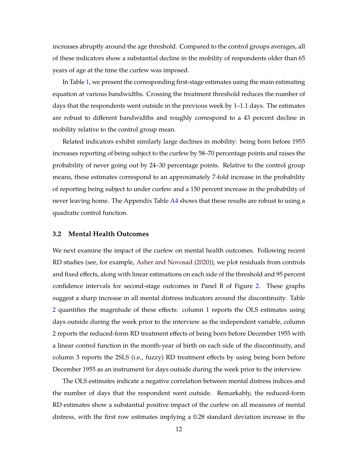increases abruptly around the age threshold. Compared to the control groups averages, all of these indicators show a substantial decline in the mobility of respondents older than 65 years of age at the time the curfew was imposed.

In Table [1,](#page-23-0) we present the corresponding first-stage estimates using the main estimating equation at various bandwidths. Crossing the treatment threshold reduces the number of days that the respondents went outside in the previous week by 1–1.1 days. The estimates are robust to different bandwidths and roughly correspond to a 43 percent decline in mobility relative to the control group mean.

Related indicators exhibit similarly large declines in mobility: being born before 1955 increases reporting of being subject to the curfew by 58–70 percentage points and raises the probability of never going out by 24–30 percentage points. Relative to the control group means, these estimates correspond to an approximately 7-fold increase in the probability of reporting being subject to under curfew and a 150 percent increase in the probability of never leaving home. The Appendix Table [A4](#page-35-0) shows that these results are robust to using a quadratic control function.

#### **3.2 Mental Health Outcomes**

We next examine the impact of the curfew on mental health outcomes. Following recent RD studies (see, for example, [Asher and Novosad](#page-16-13) [\(2020\)](#page-16-13)), we plot residuals from controls and fixed effects, along with linear estimations on each side of the threshold and 95 percent confidence intervals for second-stage outcomes in Panel B of Figure [2.](#page-22-0) These graphs suggest a sharp increase in all mental distress indicators around the discontinuity. Table [2](#page-24-0) quantifies the magnitude of these effects: column 1 reports the OLS estimates using days outside during the week prior to the interview as the independent variable, column 2 reports the reduced-form RD treatment effects of being born before December 1955 with a linear control function in the month-year of birth on each side of the discontinuity, and column 3 reports the 2SLS (i.e., fuzzy) RD treatment effects by using being born before December 1955 as an instrument for days outside during the week prior to the interview.

The OLS estimates indicate a negative correlation between mental distress indices and the number of days that the respondent went outside. Remarkably, the reduced-form RD estimates show a substantial positive impact of the curfew on all measures of mental distress, with the first row estimates implying a 0.28 standard deviation increase in the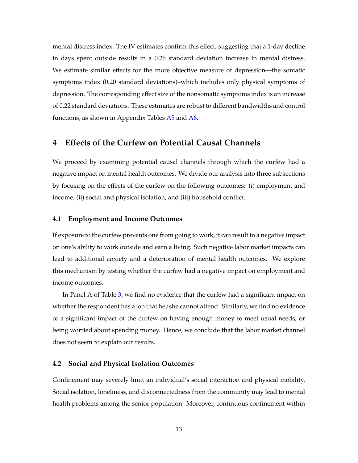mental distress index. The IV estimates confirm this effect, suggesting that a 1-day decline in days spent outside results in a 0.26 standard deviation increase in mental distress. We estimate similar effects for the more objective measure of depression—the somatic symptoms index (0.20 standard deviations)–which includes only physical symptoms of depression. The corresponding effect size of the nonsomatic symptoms index is an increase of 0.22 standard deviations. These estimates are robust to different bandwidths and control functions, as shown in Appendix Tables  $A5$  and  $A6$ .

## **4 Effects of the Curfew on Potential Causal Channels**

We proceed by examining potential causal channels through which the curfew had a negative impact on mental health outcomes. We divide our analysis into three subsections by focusing on the effects of the curfew on the following outcomes: (i) employment and income, (ii) social and physical isolation, and (iii) household conflict.

#### **4.1 Employment and Income Outcomes**

If exposure to the curfew prevents one from going to work, it can result in a negative impact on one's ability to work outside and earn a living. Such negative labor market impacts can lead to additional anxiety and a deterioration of mental health outcomes. We explore this mechanism by testing whether the curfew had a negative impact on employment and income outcomes.

In Panel A of Table [3,](#page-25-0) we find no evidence that the curfew had a significant impact on whether the respondent has a job that he/she cannot attend. Similarly, we find no evidence of a significant impact of the curfew on having enough money to meet usual needs, or being worried about spending money. Hence, we conclude that the labor market channel does not seem to explain our results.

#### **4.2 Social and Physical Isolation Outcomes**

Confinement may severely limit an individual's social interaction and physical mobility. Social isolation, loneliness, and disconnectedness from the community may lead to mental health problems among the senior population. Moreover, continuous confinement within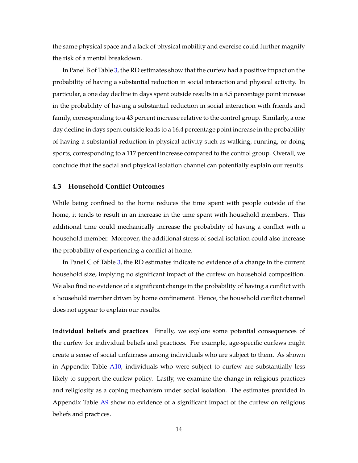the same physical space and a lack of physical mobility and exercise could further magnify the risk of a mental breakdown.

In Panel B of Table [3,](#page-25-0) the RD estimates show that the curfew had a positive impact on the probability of having a substantial reduction in social interaction and physical activity. In particular, a one day decline in days spent outside results in a 8.5 percentage point increase in the probability of having a substantial reduction in social interaction with friends and family, corresponding to a 43 percent increase relative to the control group. Similarly, a one day decline in days spent outside leads to a 16.4 percentage point increase in the probability of having a substantial reduction in physical activity such as walking, running, or doing sports, corresponding to a 117 percent increase compared to the control group. Overall, we conclude that the social and physical isolation channel can potentially explain our results.

#### **4.3 Household Conflict Outcomes**

While being confined to the home reduces the time spent with people outside of the home, it tends to result in an increase in the time spent with household members. This additional time could mechanically increase the probability of having a conflict with a household member. Moreover, the additional stress of social isolation could also increase the probability of experiencing a conflict at home.

In Panel C of Table [3,](#page-25-0) the RD estimates indicate no evidence of a change in the current household size, implying no significant impact of the curfew on household composition. We also find no evidence of a significant change in the probability of having a conflict with a household member driven by home confinement. Hence, the household conflict channel does not appear to explain our results.

**Individual beliefs and practices** Finally, we explore some potential consequences of the curfew for individual beliefs and practices. For example, age-specific curfews might create a sense of social unfairness among individuals who are subject to them. As shown in Appendix Table [A10,](#page-41-0) individuals who were subject to curfew are substantially less likely to support the curfew policy. Lastly, we examine the change in religious practices and religiosity as a coping mechanism under social isolation. The estimates provided in Appendix Table [A9](#page-40-0) show no evidence of a significant impact of the curfew on religious beliefs and practices.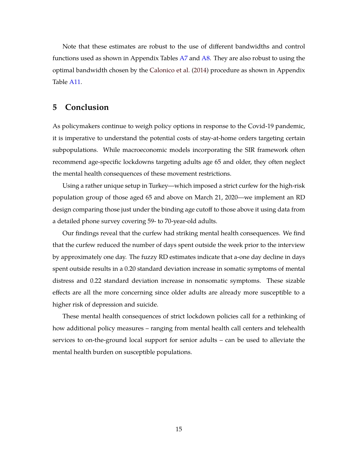Note that these estimates are robust to the use of different bandwidths and control functions used as shown in Appendix Tables [A7](#page-38-0) and [A8.](#page-39-0) They are also robust to using the optimal bandwidth chosen by the [Calonico et al.](#page-16-12) [\(2014\)](#page-16-12) procedure as shown in Appendix Table [A11.](#page-42-0)

## **5 Conclusion**

As policymakers continue to weigh policy options in response to the Covid-19 pandemic, it is imperative to understand the potential costs of stay-at-home orders targeting certain subpopulations. While macroeconomic models incorporating the SIR framework often recommend age-specific lockdowns targeting adults age 65 and older, they often neglect the mental health consequences of these movement restrictions.

Using a rather unique setup in Turkey—which imposed a strict curfew for the high-risk population group of those aged 65 and above on March 21, 2020—we implement an RD design comparing those just under the binding age cutoff to those above it using data from a detailed phone survey covering 59- to 70-year-old adults.

Our findings reveal that the curfew had striking mental health consequences. We find that the curfew reduced the number of days spent outside the week prior to the interview by approximately one day. The fuzzy RD estimates indicate that a-one day decline in days spent outside results in a 0.20 standard deviation increase in somatic symptoms of mental distress and 0.22 standard deviation increase in nonsomatic symptoms. These sizable effects are all the more concerning since older adults are already more susceptible to a higher risk of depression and suicide.

These mental health consequences of strict lockdown policies call for a rethinking of how additional policy measures – ranging from mental health call centers and telehealth services to on-the-ground local support for senior adults – can be used to alleviate the mental health burden on susceptible populations.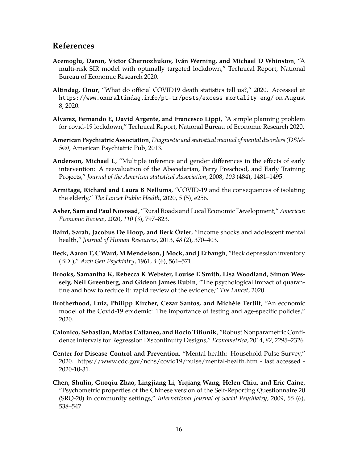## **References**

- <span id="page-16-4"></span>**Acemoglu, Daron, Victor Chernozhukov, Iván Werning, and Michael D Whinston**, "A multi-risk SIR model with optimally targeted lockdown," Technical Report, National Bureau of Economic Research 2020.
- <span id="page-16-7"></span>**Altindag, Onur**, "What do official COVID19 death statistics tell us?," 2020. Accessed at [https://www.onuraltindag.info/pt-tr/posts/excess\\_mortality\\_eng/](https://www.onuraltindag.info/pt-tr/posts/excess_mortality_eng/) on August 8, 2020.
- <span id="page-16-5"></span>**Alvarez, Fernando E, David Argente, and Francesco Lippi**, "A simple planning problem for covid-19 lockdown," Technical Report, National Bureau of Economic Research 2020.
- <span id="page-16-9"></span>**American Psychiatric Association**, *Diagnostic and statistical manual of mental disorders (DSM-5®)*, American Psychiatric Pub, 2013.
- <span id="page-16-11"></span>**Anderson, Michael L**, "Multiple inference and gender differences in the effects of early intervention: A reevaluation of the Abecedarian, Perry Preschool, and Early Training Projects," *Journal of the American statistical Association*, 2008, *103* (484), 1481–1495.
- <span id="page-16-1"></span>**Armitage, Richard and Laura B Nellums**, "COVID-19 and the consequences of isolating the elderly," *The Lancet Public Health*, 2020, *5* (5), e256.
- <span id="page-16-13"></span>**Asher, Sam and Paul Novosad**, "Rural Roads and Local Economic Development," *American Economic Review*, 2020, *110* (3), 797–823.
- <span id="page-16-3"></span>**Baird, Sarah, Jacobus De Hoop, and Berk Özler**, "Income shocks and adolescent mental health," *Journal of Human Resources*, 2013, *48* (2), 370–403.
- <span id="page-16-8"></span>**Beck, Aaron T, C Ward, M Mendelson, J Mock, and J Erbaugh**, "Beck depression inventory (BDI)," *Arch Gen Psychiatry*, 1961, *4* (6), 561–571.
- <span id="page-16-2"></span>**Brooks, Samantha K, Rebecca K Webster, Louise E Smith, Lisa Woodland, Simon Wessely, Neil Greenberg, and Gideon James Rubin**, "The psychological impact of quarantine and how to reduce it: rapid review of the evidence," *The Lancet*, 2020.
- <span id="page-16-6"></span>**Brotherhood, Luiz, Philipp Kircher, Cezar Santos, and Michèle Tertilt**, "An economic model of the Covid-19 epidemic: The importance of testing and age-specific policies," 2020.
- <span id="page-16-12"></span>**Calonico, Sebastian, Matias Cattaneo, and Rocio Titiunik**, "Robust Nonparametric Confidence Intervals for Regression Discontinuity Designs," *Econometrica*, 2014, *82*, 2295–2326.
- <span id="page-16-0"></span>**Center for Disease Control and Prevention**, "Mental health: Household Pulse Survey," 2020. https://www.cdc.gov/nchs/covid19/pulse/mental-health.htm - last accessed - 2020-10-31.
- <span id="page-16-10"></span>**Chen, Shulin, Guoqiu Zhao, Lingjiang Li, Yiqiang Wang, Helen Chiu, and Eric Caine**, "Psychometric properties of the Chinese version of the Self-Reporting Questionnaire 20 (SRQ-20) in community settings," *International Journal of Social Psychiatry*, 2009, *55* (6), 538–547.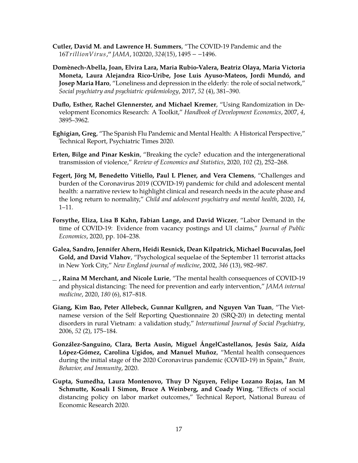- <span id="page-17-1"></span>**Cutler, David M. and Lawrence H. Summers**, "The COVID-19 Pandemic and the <sup>16</sup>𝑇𝑟𝑖𝑙𝑙𝑖𝑜𝑛𝑉𝑖𝑟𝑢𝑠,<sup>00</sup> *JAMA*, <sup>102020</sup>, *<sup>324</sup>*(15), <sup>1495</sup> − −1496.
- <span id="page-17-0"></span>**Domènech-Abella, Joan, Elvira Lara, Maria Rubio-Valera, Beatriz Olaya, Maria Victoria Moneta, Laura Alejandra Rico-Uribe, Jose Luis Ayuso-Mateos, Jordi Mundó, and Josep Maria Haro**, "Loneliness and depression in the elderly: the role of social network," *Social psychiatry and psychiatric epidemiology*, 2017, *52* (4), 381–390.
- <span id="page-17-9"></span>**Duflo, Esther, Rachel Glennerster, and Michael Kremer**, "Using Randomization in Development Economics Research: A Toolkit," *Handbook of Development Economics*, 2007, *4*, 3895–3962.
- <span id="page-17-8"></span>**Eghigian, Greg**, "The Spanish Flu Pandemic and Mental Health: A Historical Perspective," Technical Report, Psychiatric Times 2020.
- <span id="page-17-10"></span>**Erten, Bilge and Pinar Keskin**, "Breaking the cycle? education and the intergenerational transmission of violence," *Review of Economics and Statistics*, 2020, *102* (2), 252–268.
- <span id="page-17-7"></span>**Fegert, Jörg M, Benedetto Vitiello, Paul L Plener, and Vera Clemens**, "Challenges and burden of the Coronavirus 2019 (COVID-19) pandemic for child and adolescent mental health: a narrative review to highlight clinical and research needs in the acute phase and the long return to normality," *Child and adolescent psychiatry and mental health*, 2020, *14*, 1–11.
- <span id="page-17-4"></span>**Forsythe, Eliza, Lisa B Kahn, Fabian Lange, and David Wiczer**, "Labor Demand in the time of COVID-19: Evidence from vacancy postings and UI claims," *Journal of Public Economics*, 2020, pp. 104–238.
- <span id="page-17-6"></span>**Galea, Sandro, Jennifer Ahern, Heidi Resnick, Dean Kilpatrick, Michael Bucuvalas, Joel Gold, and David Vlahov**, "Psychological sequelae of the September 11 terrorist attacks in New York City," *New England journal of medicine*, 2002, *346* (13), 982–987.
- <span id="page-17-2"></span>**, Raina M Merchant, and Nicole Lurie**, "The mental health consequences of COVID-19 and physical distancing: The need for prevention and early intervention," *JAMA internal medicine*, 2020, *180* (6), 817–818.
- <span id="page-17-11"></span>**Giang, Kim Bao, Peter Allebeck, Gunnar Kullgren, and Nguyen Van Tuan**, "The Vietnamese version of the Self Reporting Questionnaire 20 (SRQ-20) in detecting mental disorders in rural Vietnam: a validation study," *International Journal of Social Psychiatry*, 2006, *52* (2), 175–184.
- <span id="page-17-3"></span>**González-Sanguino, Clara, Berta Ausín, Miguel ÁngelCastellanos, Jesús Saiz, Aída López-Gómez, Carolina Ugidos, and Manuel Muñoz**, "Mental health consequences during the initial stage of the 2020 Coronavirus pandemic (COVID-19) in Spain," *Brain, Behavior, and Immunity*, 2020.
- <span id="page-17-5"></span>**Gupta, Sumedha, Laura Montenovo, Thuy D Nguyen, Felipe Lozano Rojas, Ian M Schmutte, Kosali I Simon, Bruce A Weinberg, and Coady Wing**, "Effects of social distancing policy on labor market outcomes," Technical Report, National Bureau of Economic Research 2020.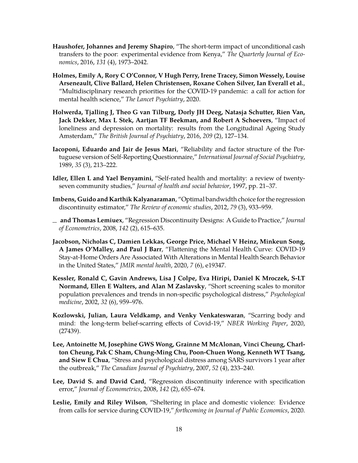- <span id="page-18-5"></span>**Haushofer, Johannes and Jeremy Shapiro**, "The short-term impact of unconditional cash transfers to the poor: experimental evidence from Kenya," *The Quarterly Journal of Economics*, 2016, *131* (4), 1973–2042.
- <span id="page-18-3"></span>**Holmes, Emily A, Rory C O'Connor, V Hugh Perry, Irene Tracey, Simon Wessely, Louise Arseneault, Clive Ballard, Helen Christensen, Roxane Cohen Silver, Ian Everall et al.**, "Multidisciplinary research priorities for the COVID-19 pandemic: a call for action for mental health science," *The Lancet Psychiatry*, 2020.
- <span id="page-18-1"></span>**Holwerda, Tjalling J, Theo G van Tilburg, Dorly JH Deeg, Natasja Schutter, Rien Van, Jack Dekker, Max L Stek, Aartjan TF Beekman, and Robert A Schoevers**, "Impact of loneliness and depression on mortality: results from the Longitudinal Ageing Study Amsterdam," *The British Journal of Psychiatry*, 2016, *209* (2), 127–134.
- <span id="page-18-9"></span>**Iacoponi, Eduardo and Jair de Jesus Mari**, "Reliability and factor structure of the Portuguese version of Self-Reporting Questionnaire," *International Journal of Social Psychiatry*, 1989, *35* (3), 213–222.
- <span id="page-18-0"></span>**Idler, Ellen L and Yael Benyamini**, "Self-rated health and mortality: a review of twentyseven community studies," *Journal of health and social behavior*, 1997, pp. 21–37.
- <span id="page-18-11"></span>**Imbens, Guido and Karthik Kalyanaraman**, "Optimal bandwidth choice for the regression discontinuity estimator," *The Review of economic studies*, 2012, *79* (3), 933–959.
- <span id="page-18-12"></span>**and Thomas Lemiuex**, "Regression Discontinuity Designs: A Guide to Practice," *Journal of Econometrics*, 2008, *142* (2), 615–635.
- <span id="page-18-2"></span>**Jacobson, Nicholas C, Damien Lekkas, George Price, Michael V Heinz, Minkeun Song, A James O'Malley, and Paul J Barr**, "Flattening the Mental Health Curve: COVID-19 Stay-at-Home Orders Are Associated With Alterations in Mental Health Search Behavior in the United States," *JMIR mental health*, 2020, *7* (6), e19347.
- <span id="page-18-8"></span>**Kessler, Ronald C, Gavin Andrews, Lisa J Colpe, Eva Hiripi, Daniel K Mroczek, S-LT Normand, Ellen E Walters, and Alan M Zaslavsky**, "Short screening scales to monitor population prevalences and trends in non-specific psychological distress," *Psychological medicine*, 2002, *32* (6), 959–976.
- <span id="page-18-7"></span>**Kozlowski, Julian, Laura Veldkamp, and Venky Venkateswaran**, "Scarring body and mind: the long-term belief-scarring effects of Covid-19," *NBER Working Paper*, 2020, (27439).
- <span id="page-18-6"></span>**Lee, Antoinette M, Josephine GWS Wong, Grainne M McAlonan, Vinci Cheung, Charlton Cheung, Pak C Sham, Chung-Ming Chu, Poon-Chuen Wong, Kenneth WT Tsang, and Siew E Chua**, "Stress and psychological distress among SARS survivors 1 year after the outbreak," *The Canadian Journal of Psychiatry*, 2007, *52* (4), 233–240.
- <span id="page-18-10"></span>**Lee, David S. and David Card**, "Regression discontinuity inference with specification error," *Journal of Econometrics*, 2008, *142* (2), 655–674.
- <span id="page-18-4"></span>**Leslie, Emily and Riley Wilson**, "Sheltering in place and domestic violence: Evidence from calls for service during COVID-19," *forthcoming in Journal of Public Economics*, 2020.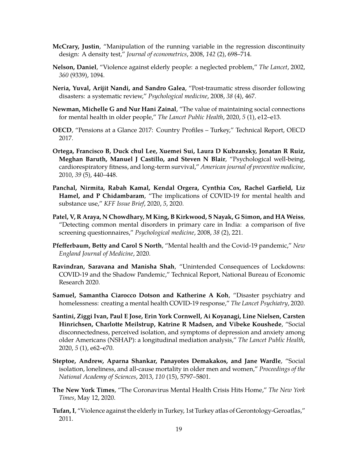- <span id="page-19-14"></span>**McCrary, Justin**, "Manipulation of the running variable in the regression discontinuity design: A density test," *Journal of econometrics*, 2008, *142* (2), 698–714.
- <span id="page-19-8"></span>**Nelson, Daniel**, "Violence against elderly people: a neglected problem," *The Lancet*, 2002, *360* (9339), 1094.
- <span id="page-19-10"></span>**Neria, Yuval, Arijit Nandi, and Sandro Galea**, "Post-traumatic stress disorder following disasters: a systematic review," *Psychological medicine*, 2008, *38* (4), 467.
- <span id="page-19-5"></span>**Newman, Michelle G and Nur Hani Zainal**, "The value of maintaining social connections for mental health in older people," *The Lancet Public Health*, 2020, *5* (1), e12–e13.
- <span id="page-19-7"></span>**OECD**, "Pensions at a Glance 2017: Country Profiles – Turkey," Technical Report, OECD 2017.
- <span id="page-19-0"></span>**Ortega, Francisco B, Duck chul Lee, Xuemei Sui, Laura D Kubzansky, Jonatan R Ruiz, Meghan Baruth, Manuel J Castillo, and Steven N Blair**, "Psychological well-being, cardiorespiratory fitness, and long-term survival," *American journal of preventive medicine*, 2010, *39* (5), 440–448.
- <span id="page-19-3"></span>**Panchal, Nirmita, Rabah Kamal, Kendal Orgera, Cynthia Cox, Rachel Garfield, Liz Hamel, and P Chidambaram**, "The implications of COVID-19 for mental health and substance use," *KFF Issue Brief*, 2020, *5*, 2020.
- <span id="page-19-13"></span>**Patel, V, R Araya, N Chowdhary, M King, B Kirkwood, S Nayak, G Simon, and HA Weiss**, "Detecting common mental disorders in primary care in India: a comparison of five screening questionnaires," *Psychological medicine*, 2008, *38* (2), 221.
- <span id="page-19-11"></span>**Pfefferbaum, Betty and Carol S North**, "Mental health and the Covid-19 pandemic," *New England Journal of Medicine*, 2020.
- <span id="page-19-6"></span>**Ravindran, Saravana and Manisha Shah**, "Unintended Consequences of Lockdowns: COVID-19 and the Shadow Pandemic," Technical Report, National Bureau of Economic Research 2020.
- <span id="page-19-12"></span>**Samuel, Samantha Ciarocco Dotson and Katherine A Koh**, "Disaster psychiatry and homelessness: creating a mental health COVID-19 response," *The Lancet Psychiatry*, 2020.
- <span id="page-19-4"></span>**Santini, Ziggi Ivan, Paul E Jose, Erin York Cornwell, Ai Koyanagi, Line Nielsen, Carsten Hinrichsen, Charlotte Meilstrup, Katrine R Madsen, and Vibeke Koushede**, "Social disconnectedness, perceived isolation, and symptoms of depression and anxiety among older Americans (NSHAP): a longitudinal mediation analysis," *The Lancet Public Health*, 2020, *5* (1), e62–e70.
- <span id="page-19-1"></span>**Steptoe, Andrew, Aparna Shankar, Panayotes Demakakos, and Jane Wardle**, "Social isolation, loneliness, and all-cause mortality in older men and women," *Proceedings of the National Academy of Sciences*, 2013, *110* (15), 5797–5801.
- <span id="page-19-2"></span>**The New York Times**, "The Coronavirus Mental Health Crisis Hits Home," *The New York Times*, May 12, 2020.
- <span id="page-19-9"></span>**Tufan, I**, "Violence against the elderly in Turkey, 1st Turkey atlas of Gerontology-Geroatlas," 2011.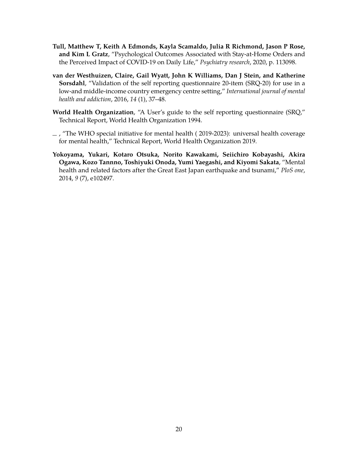- <span id="page-20-1"></span>**Tull, Matthew T, Keith A Edmonds, Kayla Scamaldo, Julia R Richmond, Jason P Rose, and Kim L Gratz**, "Psychological Outcomes Associated with Stay-at-Home Orders and the Perceived Impact of COVID-19 on Daily Life," *Psychiatry research*, 2020, p. 113098.
- <span id="page-20-4"></span>**van der Westhuizen, Claire, Gail Wyatt, John K Williams, Dan J Stein, and Katherine Sorsdahl**, "Validation of the self reporting questionnaire 20-item (SRQ-20) for use in a low-and middle-income country emergency centre setting," *International journal of mental health and addiction*, 2016, *14* (1), 37–48.
- <span id="page-20-3"></span>**World Health Organization**, "A User's guide to the self reporting questionnaire (SRQ," Technical Report, World Health Organization 1994.
- <span id="page-20-0"></span> $-$ , "The WHO special initiative for mental health (2019-2023): universal health coverage for mental health," Technical Report, World Health Organization 2019.
- <span id="page-20-2"></span>**Yokoyama, Yukari, Kotaro Otsuka, Norito Kawakami, Seiichiro Kobayashi, Akira Ogawa, Kozo Tannno, Toshiyuki Onoda, Yumi Yaegashi, and Kiyomi Sakata**, "Mental health and related factors after the Great East Japan earthquake and tsunami," *PloS one*, 2014, *9* (7), e102497.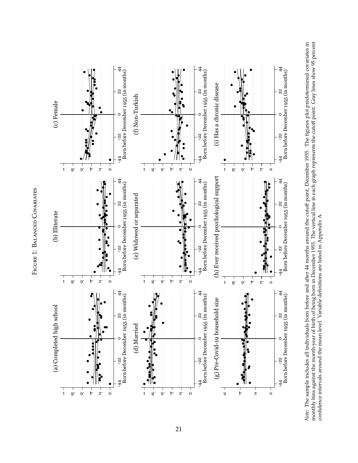<span id="page-21-0"></span>



Note: The sample includes all individuals born before and after 44 months around the cutoff point, December 1955. The figures plot predetermined covariates in monthly bins against the month-year of birth of being born in D *Note:* The sample includes all individuals born before and after 44 months around the cutoff point, December 1955. The figures plot predetermined covariates in monthly bins against the month-year of birth of being born in December 1955. The vertical line in each graph represents the cutoff point. Gray lines show 95 percent confidence intervals around the mean level. Variable definitions are listed in Appendix A. confidence intervals around the mean level. Variable definitions are listed in Appendix A.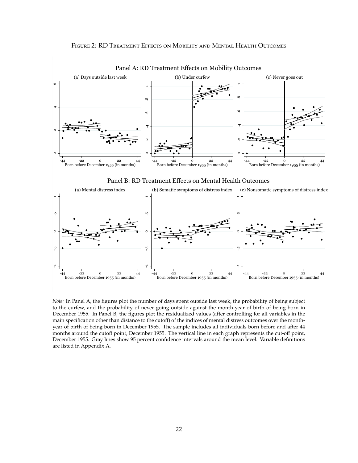#### Figure 2: RD Treatment Effects on Mobility and Mental Health Outcomes

<span id="page-22-0"></span>

Panel A: RD Treatment Effects on Mobility Outcomes





*Note:* In Panel A, the figures plot the number of days spent outside last week, the probability of being subject to the curfew, and the probability of never going outside against the month-year of birth of being born in December 1955. In Panel B, the figures plot the residualized values (after controlling for all variables in the main specification other than distance to the cutoff) of the indices of mental distress outcomes over the monthyear of birth of being born in December 1955. The sample includes all individuals born before and after 44 months around the cutoff point, December 1955. The vertical line in each graph represents the cut-off point, December 1955. Gray lines show 95 percent confidence intervals around the mean level. Variable definitions are listed in Appendix A.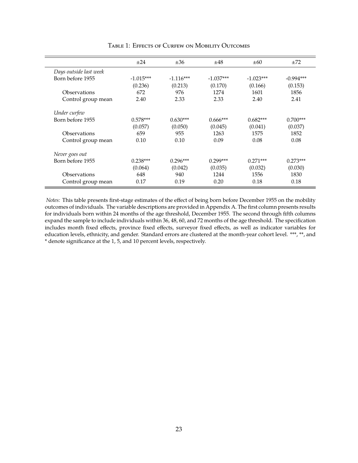<span id="page-23-0"></span>

|                        | $\pm 24$    | ±36         | ±48         | $\pm 60$    | ±72         |
|------------------------|-------------|-------------|-------------|-------------|-------------|
| Days outside last week |             |             |             |             |             |
| Born before 1955       | $-1.015***$ | $-1.116***$ | $-1.037***$ | $-1.023***$ | $-0.994***$ |
|                        | (0.236)     | (0.213)     | (0.170)     | (0.166)     | (0.153)     |
| Observations           | 672         | 976         | 1274        | 1601        | 1856        |
| Control group mean     | 2.40        | 2.33        | 2.33        | 2.40        | 2.41        |
| Under curfew           |             |             |             |             |             |
| Born before 1955       | $0.578***$  | $0.630***$  | $0.666***$  | $0.682***$  | $0.700***$  |
|                        | (0.057)     | (0.050)     | (0.045)     | (0.041)     | (0.037)     |
| Observations           | 659         | 955         | 1263        | 1575        | 1852        |
| Control group mean     | 0.10        | 0.10        | 0.09        | 0.08        | 0.08        |
| Never goes out         |             |             |             |             |             |
| Born before 1955       | $0.238***$  | $0.296***$  | $0.299***$  | $0.271***$  | $0.273***$  |
|                        | (0.064)     | (0.042)     | (0.035)     | (0.032)     | (0.030)     |
| Observations           | 648         | 940         | 1244        | 1556        | 1830        |
| Control group mean     | 0.17        | 0.19        | 0.20        | 0.18        | 0.18        |

Table 1: Effects of Curfew on Mobility Outcomes

*Notes:* This table presents first-stage estimates of the effect of being born before December 1955 on the mobility outcomes of individuals. The variable descriptions are provided in Appendix A. The first column presents results for individuals born within 24 months of the age threshold, December 1955. The second through fifth columns expand the sample to include individuals within 36, 48, 60, and 72 months of the age threshold. The specification includes month fixed effects, province fixed effects, surveyor fixed effects, as well as indicator variables for education levels, ethnicity, and gender. Standard errors are clustered at the month-year cohort level. \*\*\*, \*\*, and \* denote significance at the 1, 5, and 10 percent levels, respectively.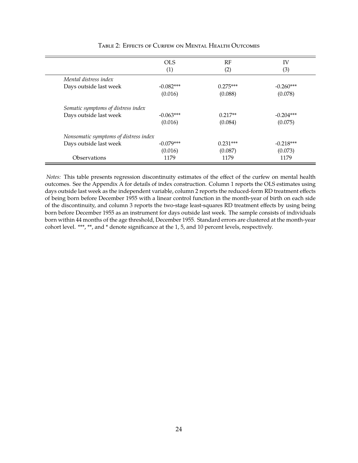<span id="page-24-0"></span>

|                                       | <b>OLS</b>  | RF         | IV          |
|---------------------------------------|-------------|------------|-------------|
|                                       | (1)         | (2)        | (3)         |
| Mental distress index                 |             |            |             |
| Days outside last week                | $-0.082***$ | $0.275***$ | $-0.260***$ |
|                                       | (0.016)     | (0.088)    | (0.078)     |
| Somatic symptoms of distress index    |             |            |             |
| Days outside last week                | $-0.063***$ | $0.217**$  | $-0.204***$ |
|                                       | (0.016)     | (0.084)    | (0.075)     |
| Nonsomatic symptoms of distress index |             |            |             |
| Days outside last week                | $-0.079***$ | $0.231***$ | $-0.218***$ |
|                                       | (0.016)     | (0.087)    | (0.073)     |
| <i><b>Observations</b></i>            | 1179        | 1179       | 1179        |

#### Table 2: Effects of Curfew on Mental Health Outcomes

*Notes:* This table presents regression discontinuity estimates of the effect of the curfew on mental health outcomes. See the Appendix A for details of index construction. Column 1 reports the OLS estimates using days outside last week as the independent variable, column 2 reports the reduced-form RD treatment effects of being born before December 1955 with a linear control function in the month-year of birth on each side of the discontinuity, and column 3 reports the two-stage least-squares RD treatment effects by using being born before December 1955 as an instrument for days outside last week. The sample consists of individuals born within 44 months of the age threshold, December 1955. Standard errors are clustered at the month-year cohort level. \*\*\*, \*\*, and \* denote significance at the 1, 5, and 10 percent levels, respectively.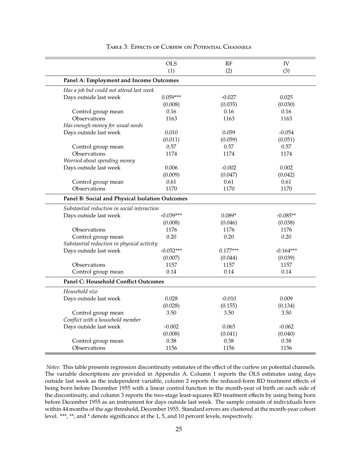<span id="page-25-0"></span>

|                                                 | <b>OLS</b>  | RF         | IV          |
|-------------------------------------------------|-------------|------------|-------------|
|                                                 | (1)         | (2)        | (3)         |
| Panel A: Employment and Income Outcomes         |             |            |             |
| Has a job but could not attend last week        |             |            |             |
| Days outside last week                          | $0.059***$  | $-0.027$   | 0.025       |
|                                                 | (0.008)     | (0.035)    | (0.030)     |
| Control group mean                              | 0.16        | 0.16       | 0.16        |
| Observations                                    | 1163        | 1163       | 1163        |
| Has enough money for usual needs                |             |            |             |
| Days outside last week                          | 0.010       | 0.059      | $-0.054$    |
|                                                 | (0.011)     | (0.059)    | (0.051)     |
| Control group mean                              | 0.57        | 0.57       | 0.57        |
| Observations                                    | 1174        | 1174       | 1174        |
| Worried about spending money                    |             |            |             |
| Days outside last week                          | 0.006       | $-0.002$   | 0.002       |
|                                                 | (0.009)     | (0.047)    | (0.042)     |
| Control group mean                              | 0.61        | 0.61       | 0.61        |
| Observations                                    | 1170        | 1170       | 1170        |
| Panel B: Social and Physical Isolation Outcomes |             |            |             |
| Substantial reduction in social interaction     |             |            |             |
| Days outside last week                          | $-0.039***$ | $0.089*$   | $-0.085**$  |
|                                                 | (0.008)     | (0.046)    | (0.038)     |
| Observations                                    | 1176        | 1176       | 1176        |
| Control group mean                              | 0.20        | 0.20       | 0.20        |
| Substantial reduction in physical activity      |             |            |             |
| Days outside last week                          | $-0.052***$ | $0.177***$ | $-0.164***$ |
|                                                 | (0.007)     | (0.044)    | (0.039)     |
| Observations                                    | 1157        | 1157       | 1157        |
| Control group mean                              | 0.14        | 0.14       | 0.14        |
| Panel C: Household Conflict Outcomes            |             |            |             |
| Household size                                  |             |            |             |
| Days outside last week                          | 0.028       | $-0.010$   | 0.009       |
|                                                 | (0.028)     | (0.155)    | (0.134)     |
| Control group mean                              | 3.50        | 3.50       | 3.50        |
| Conflict with a household member                |             |            |             |
| Days outside last week                          | $-0.002$    | 0.065      | $-0.062$    |
|                                                 | (0.008)     | (0.041)    | (0.040)     |
| Control group mean                              | 0.38        | 0.38       | 0.38        |
| Observations                                    | 1156        | 1156       | 1156        |

#### Table 3: Effects of Curfew on Potential Channels

*Notes:* This table presents regression discontinuity estimates of the effect of the curfew on potential channels. The variable descriptions are provided in Appendix A. Column 1 reports the OLS estimates using days outside last week as the independent variable, column 2 reports the reduced-form RD treatment effects of being born before December 1955 with a linear control function in the month-year of birth on each side of the discontinuity, and column 3 reports the two-stage least-squares RD treatment effects by using being born before December 1955 as an instrument for days outside last week. The sample consists of individuals born within 44 months of the age threshold, December 1955. Standard errors are clustered at the month-year cohort level. \*\*\*, \*\*, and \* denote significance at the 1, 5, and 10 percent levels, respectively.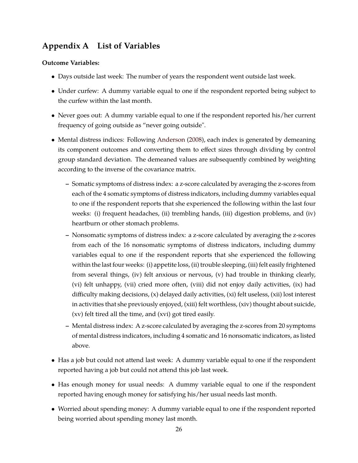## **Appendix A List of Variables**

## **Outcome Variables:**

- Days outside last week: The number of years the respondent went outside last week.
- Under curfew: A dummy variable equal to one if the respondent reported being subject to the curfew within the last month.
- Never goes out: A dummy variable equal to one if the respondent reported his/her current frequency of going outside as "never going outside".
- Mental distress indices: Following [Anderson](#page-16-11) [\(2008\)](#page-16-11), each index is generated by demeaning its component outcomes and converting them to effect sizes through dividing by control group standard deviation. The demeaned values are subsequently combined by weighting according to the inverse of the covariance matrix.
	- **–** Somatic symptoms of distress index: a z-score calculated by averaging the z-scores from each of the 4 somatic symptoms of distress indicators, including dummy variables equal to one if the respondent reports that she experienced the following within the last four weeks: (i) frequent headaches, (ii) trembling hands, (iii) digestion problems, and (iv) heartburn or other stomach problems.
	- **–** Nonsomatic symptoms of distress index: a z-score calculated by averaging the z-scores from each of the 16 nonsomatic symptoms of distress indicators, including dummy variables equal to one if the respondent reports that she experienced the following within the last four weeks: (i) appetite loss, (ii) trouble sleeping, (iii) felt easily frightened from several things, (iv) felt anxious or nervous, (v) had trouble in thinking clearly, (vi) felt unhappy, (vii) cried more often, (viii) did not enjoy daily activities, (ix) had difficulty making decisions, (x) delayed daily activities, (xi) felt useless, (xii) lost interest in activities that she previously enjoyed, (xiii) felt worthless, (xiv) thought about suicide, (xv) felt tired all the time, and (xvi) got tired easily.
	- **–** Mental distress index: A z-score calculated by averaging the z-scores from 20 symptoms of mental distress indicators, including 4 somatic and 16 nonsomatic indicators, as listed above.
- Has a job but could not attend last week: A dummy variable equal to one if the respondent reported having a job but could not attend this job last week.
- Has enough money for usual needs: A dummy variable equal to one if the respondent reported having enough money for satisfying his/her usual needs last month.
- Worried about spending money: A dummy variable equal to one if the respondent reported being worried about spending money last month.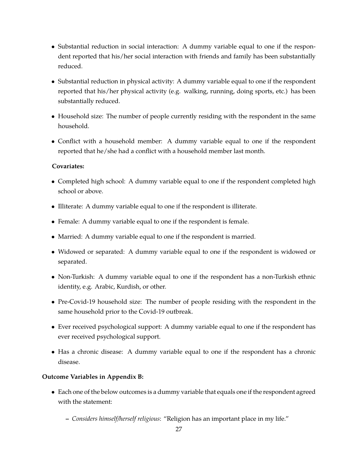- Substantial reduction in social interaction: A dummy variable equal to one if the respondent reported that his/her social interaction with friends and family has been substantially reduced.
- Substantial reduction in physical activity: A dummy variable equal to one if the respondent reported that his/her physical activity (e.g. walking, running, doing sports, etc.) has been substantially reduced.
- Household size: The number of people currently residing with the respondent in the same household.
- Conflict with a household member: A dummy variable equal to one if the respondent reported that he/she had a conflict with a household member last month.

#### **Covariates:**

- Completed high school: A dummy variable equal to one if the respondent completed high school or above.
- Illiterate: A dummy variable equal to one if the respondent is illiterate.
- Female: A dummy variable equal to one if the respondent is female.
- Married: A dummy variable equal to one if the respondent is married.
- Widowed or separated: A dummy variable equal to one if the respondent is widowed or separated.
- Non-Turkish: A dummy variable equal to one if the respondent has a non-Turkish ethnic identity, e.g. Arabic, Kurdish, or other.
- Pre-Covid-19 household size: The number of people residing with the respondent in the same household prior to the Covid-19 outbreak.
- Ever received psychological support: A dummy variable equal to one if the respondent has ever received psychological support.
- Has a chronic disease: A dummy variable equal to one if the respondent has a chronic disease.

## **Outcome Variables in Appendix B:**

- Each one of the below outcomes is a dummy variable that equals one if the respondent agreed with the statement:
	- **–** *Considers himself/herself religious*: "Religion has an important place in my life."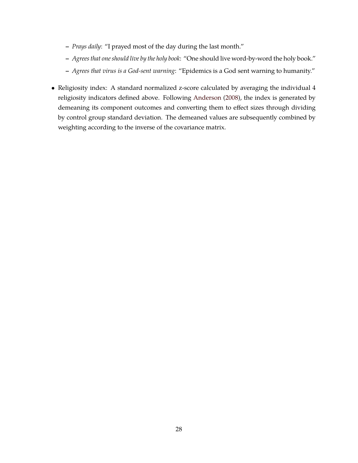- **–** *Prays daily*: "I prayed most of the day during the last month."
- **–** *Agrees that one should live by the holy book*: "One should live word-by-word the holy book."
- **–** *Agrees that virus is a God-sent warning*: "Epidemics is a God sent warning to humanity."
- Religiosity index: A standard normalized z-score calculated by averaging the individual 4 religiosity indicators defined above. Following [Anderson](#page-16-11) [\(2008\)](#page-16-11), the index is generated by demeaning its component outcomes and converting them to effect sizes through dividing by control group standard deviation. The demeaned values are subsequently combined by weighting according to the inverse of the covariance matrix.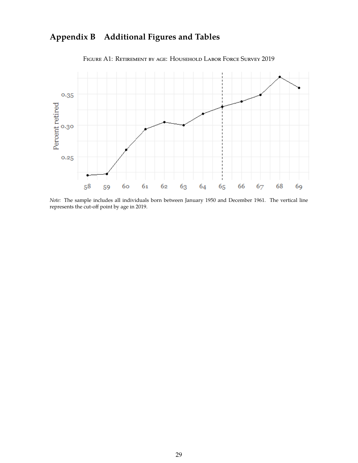# **Appendix B Additional Figures and Tables**

<span id="page-29-0"></span>

FIGURE A1: RETIREMENT BY AGE: HOUSEHOLD LABOR FORCE SURVEY 2019

*Note:* The sample includes all individuals born between January 1950 and December 1961. The vertical line represents the cut-off point by age in 2019.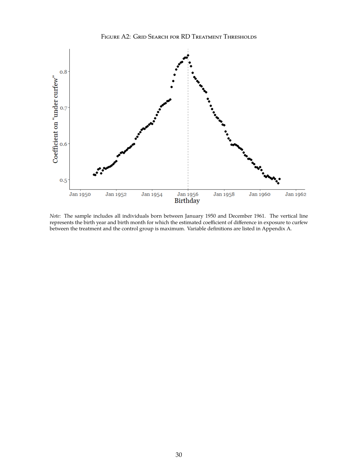

<span id="page-30-0"></span>

*Note:* The sample includes all individuals born between January 1950 and December 1961. The vertical line represents the birth year and birth month for which the estimated coefficient of difference in exposure to curfew between the treatment and the control group is maximum. Variable definitions are listed in Appendix A.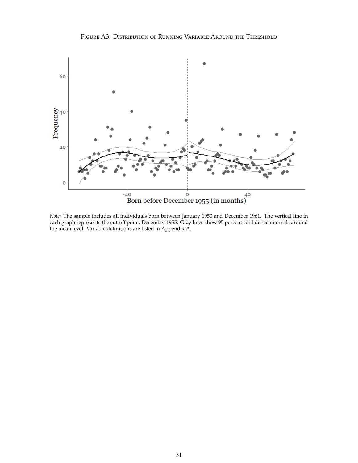Figure A3: Distribution of Running Variable Around the Threshold

<span id="page-31-0"></span>

*Note:* The sample includes all individuals born between January 1950 and December 1961. The vertical line in each graph represents the cut-off point, December 1955. Gray lines show 95 percent confidence intervals around the mean level. Variable definitions are listed in Appendix A.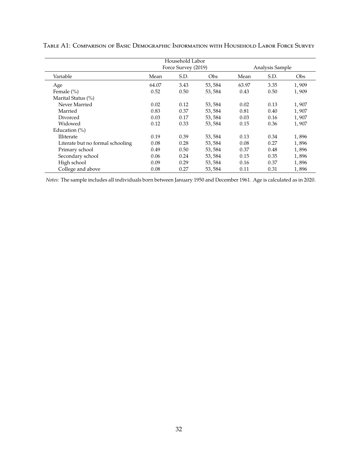<span id="page-32-0"></span>

|                                  |                     | Household Labor |        |                 |      |       |
|----------------------------------|---------------------|-----------------|--------|-----------------|------|-------|
|                                  | Force Survey (2019) |                 |        | Analysis Sample |      |       |
| Variable                         | Mean                | S.D.            | Obs    | Mean            | S.D. | Obs   |
| Age                              | 64.07               | 3.43            | 53,584 | 63.97           | 3.35 | 1,909 |
| Female $(\% )$                   | 0.52                | 0.50            | 53,584 | 0.43            | 0.50 | 1,909 |
| Marital Status (%)               |                     |                 |        |                 |      |       |
| Never Married                    | 0.02                | 0.12            | 53,584 | 0.02            | 0.13 | 1,907 |
| Married                          | 0.83                | 0.37            | 53,584 | 0.81            | 0.40 | 1,907 |
| Divorced                         | 0.03                | 0.17            | 53,584 | 0.03            | 0.16 | 1,907 |
| Widowed                          | 0.12                | 0.33            | 53,584 | 0.15            | 0.36 | 1,907 |
| Education $(\% )$                |                     |                 |        |                 |      |       |
| <b>Illiterate</b>                | 0.19                | 0.39            | 53,584 | 0.13            | 0.34 | 1,896 |
| Literate but no formal schooling | 0.08                | 0.28            | 53,584 | 0.08            | 0.27 | 1,896 |
| Primary school                   | 0.49                | 0.50            | 53,584 | 0.37            | 0.48 | 1,896 |
| Secondary school                 | 0.06                | 0.24            | 53,584 | 0.15            | 0.35 | 1,896 |
| High school                      | 0.09                | 0.29            | 53,584 | 0.16            | 0.37 | 1,896 |
| College and above                | 0.08                | 0.27            | 53,584 | 0.11            | 0.31 | 1,896 |

Table A1: Comparison of Basic Demographic Information with Household Labor Force Survey

*Notes:* The sample includes all individuals born between January 1950 and December 1961. Age is calculated as in 2020.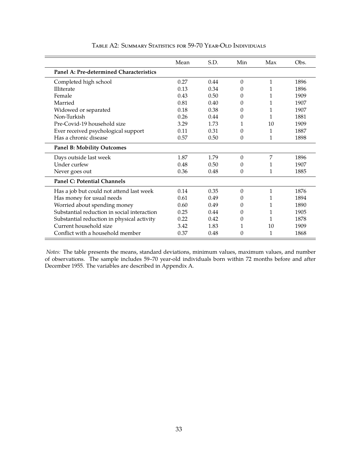<span id="page-33-0"></span>

|                                             | Mean | S.D. | Min            | Max          | Obs. |
|---------------------------------------------|------|------|----------------|--------------|------|
| Panel A: Pre-determined Characteristics     |      |      |                |              |      |
| Completed high school                       | 0.27 | 0.44 | $\theta$       | 1            | 1896 |
| <b>Illiterate</b>                           | 0.13 | 0.34 | 0              | 1            | 1896 |
| Female                                      | 0.43 | 0.50 | $\theta$       | 1            | 1909 |
| Married                                     | 0.81 | 0.40 | 0              | 1            | 1907 |
| Widowed or separated                        | 0.18 | 0.38 | $\theta$       | 1            | 1907 |
| Non-Turkish                                 | 0.26 | 0.44 | $\Omega$       | 1            | 1881 |
| Pre-Covid-19 household size                 | 3.29 | 1.73 | 1              | 10           | 1909 |
| Ever received psychological support         | 0.11 | 0.31 | $\Omega$       | 1            | 1887 |
| Has a chronic disease                       | 0.57 | 0.50 | $\theta$       | 1            | 1898 |
| <b>Panel B: Mobility Outcomes</b>           |      |      |                |              |      |
| Days outside last week                      | 1.87 | 1.79 | $\theta$       | 7            | 1896 |
| Under curfew                                | 0.48 | 0.50 | $\theta$       | 1            | 1907 |
| Never goes out                              | 0.36 | 0.48 | $\theta$       | 1            | 1885 |
| <b>Panel C: Potential Channels</b>          |      |      |                |              |      |
| Has a job but could not attend last week    | 0.14 | 0.35 | $\overline{0}$ | $\mathbf{1}$ | 1876 |
| Has money for usual needs                   | 0.61 | 0.49 | $\Omega$       | 1            | 1894 |
| Worried about spending money                | 0.60 | 0.49 | $\Omega$       | 1            | 1890 |
| Substantial reduction in social interaction | 0.25 | 0.44 | $\theta$       | 1            | 1905 |
| Substantial reduction in physical activity  | 0.22 | 0.42 | $\Omega$       | 1            | 1878 |
| Current household size                      | 3.42 | 1.83 | 1              | 10           | 1909 |
| Conflict with a household member            | 0.37 | 0.48 | $\theta$       | 1            | 1868 |

#### Table A2: Summary Statistics for 59-70 Year-Old Individuals

*Notes:* The table presents the means, standard deviations, minimum values, maximum values, and number of observations. The sample includes 59–70 year-old individuals born within 72 months before and after December 1955. The variables are described in Appendix A.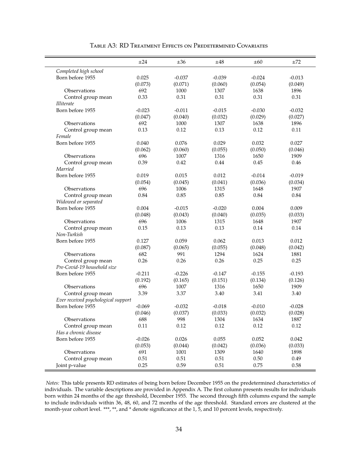<span id="page-34-0"></span>

|                                     | ±24      | $\pm 36$ | ±48      | ±60      | ±72      |
|-------------------------------------|----------|----------|----------|----------|----------|
| Completed high school               |          |          |          |          |          |
| Born before 1955                    | 0.025    | $-0.037$ | $-0.039$ | $-0.024$ | $-0.013$ |
|                                     | (0.073)  | (0.071)  | (0.060)  | (0.054)  | (0.049)  |
| Observations                        | 692      | 1000     | 1307     | 1638     | 1896     |
| Control group mean                  | 0.33     | 0.31     | 0.31     | 0.31     | 0.31     |
| <i>Illiterate</i>                   |          |          |          |          |          |
| Born before 1955                    | $-0.023$ | $-0.011$ | $-0.015$ | $-0.030$ | $-0.032$ |
|                                     | (0.047)  | (0.040)  | (0.032)  | (0.029)  | (0.027)  |
| Observations                        | 692      | 1000     | 1307     | 1638     | 1896     |
| Control group mean                  | 0.13     | 0.12     | 0.13     | 0.12     | 0.11     |
| Female                              |          |          |          |          |          |
| Born before 1955                    | 0.040    | 0.076    | 0.029    | 0.032    | 0.027    |
|                                     | (0.062)  | (0.060)  | (0.055)  | (0.050)  | (0.046)  |
| Observations                        | 696      | 1007     | 1316     | 1650     | 1909     |
| Control group mean                  | 0.39     | 0.42     | 0.44     | 0.45     | 0.46     |
| Married                             |          |          |          |          |          |
| Born before 1955                    | 0.019    | 0.015    | 0.012    | $-0.014$ | $-0.019$ |
|                                     | (0.054)  | (0.045)  | (0.041)  | (0.036)  | (0.034)  |
| Observations                        | 696      | 1006     | 1315     | 1648     | 1907     |
| Control group mean                  | 0.84     | 0.85     | 0.85     | 0.84     | 0.84     |
| Widowed or separated                |          |          |          |          |          |
| Born before 1955                    | 0.004    | $-0.015$ | $-0.020$ | 0.004    | 0.009    |
|                                     | (0.048)  | (0.043)  | (0.040)  | (0.035)  | (0.033)  |
| Observations                        | 696      | 1006     | 1315     | 1648     | 1907     |
| Control group mean                  | 0.15     | 0.13     | 0.13     | 0.14     | 0.14     |
| Non-Turkish                         |          |          |          |          |          |
| Born before 1955                    | 0.127    | 0.059    | 0.062    | 0.013    | 0.012    |
|                                     | (0.087)  | (0.065)  | (0.055)  | (0.048)  | (0.042)  |
| Observations                        | 682      | 991      | 1294     | 1624     | 1881     |
| Control group mean                  | 0.26     | 0.26     | 0.26     | 0.25     | 0.25     |
| Pre-Covid-19 household size         |          |          |          |          |          |
| Born before 1955                    | $-0.211$ | $-0.226$ | $-0.147$ | $-0.155$ | $-0.193$ |
|                                     | (0.192)  | (0.165)  | (0.151)  | (0.134)  | (0.126)  |
| Observations                        | 696      | 1007     | 1316     | 1650     | 1909     |
| Control group mean                  | 3.39     | 3.37     | 3.40     | 3.41     | 3.40     |
| Ever received psychological support |          |          |          |          |          |
| Born before 1955                    | $-0.069$ | $-0.032$ | $-0.018$ | $-0.010$ | $-0.028$ |
|                                     | (0.046)  | (0.037)  | (0.033)  | (0.032)  | (0.028)  |
| Observations                        | 688      | 998      | 1304     | 1634     | 1887     |
| Control group mean                  | 0.11     | 0.12     | 0.12     | 0.12     | 0.12     |
| Has a chronic disease               |          |          |          |          |          |
| Born before 1955                    | $-0.026$ | 0.026    | 0.055    | 0.052    | 0.042    |
|                                     | (0.053)  | (0.044)  | (0.042)  | (0.036)  | (0.033)  |
| Observations                        | 691      | 1001     | 1309     | 1640     | 1898     |
| Control group mean                  | 0.51     | 0.51     | 0.51     | 0.50     | 0.49     |
| Joint p-value                       | 0.25     | 0.59     | 0.51     | 0.75     | 0.58     |

#### Table A3: RD Treatment Effects on Predetermined Covariates

*Notes:* This table presents RD estimates of being born before December 1955 on the predetermined characteristics of individuals. The variable descriptions are provided in Appendix A. The first column presents results for individuals born within 24 months of the age threshold, December 1955. The second through fifth columns expand the sample to include individuals within 36, 48, 60, and 72 months of the age threshold. Standard errors are clustered at the month-year cohort level. \*\*\*, \*\*, and \* denote significance at the 1, 5, and 10 percent levels, respectively.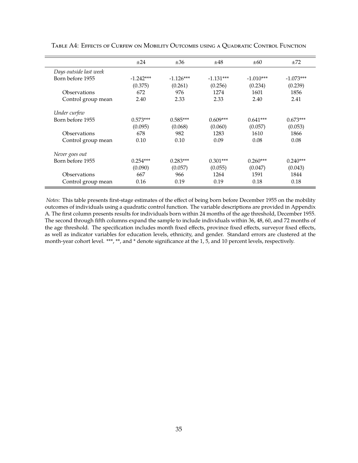<span id="page-35-0"></span>

|                        | $\pm 24$    | ±36         | ±48         | $\pm 60$    | ±72         |
|------------------------|-------------|-------------|-------------|-------------|-------------|
| Days outside last week |             |             |             |             |             |
| Born before 1955       | $-1.242***$ | $-1.126***$ | $-1.131***$ | $-1.010***$ | $-1.073***$ |
|                        | (0.375)     | (0.261)     | (0.256)     | (0.234)     | (0.239)     |
| Observations           | 672         | 976         | 1274        | 1601        | 1856        |
| Control group mean     | 2.40        | 2.33        | 2.33        | 2.40        | 2.41        |
| Under curfew           |             |             |             |             |             |
| Born before 1955       | $0.573***$  | $0.585***$  | $0.609***$  | $0.641***$  | $0.673***$  |
|                        | (0.095)     | (0.068)     | (0.060)     | (0.057)     | (0.053)     |
| Observations           | 678         | 982         | 1283        | 1610        | 1866        |
| Control group mean     | 0.10        | 0.10        | 0.09        | 0.08        | 0.08        |
| Never goes out         |             |             |             |             |             |
| Born before 1955       | $0.254***$  | $0.283***$  | $0.301***$  | $0.260***$  | $0.240***$  |
|                        | (0.090)     | (0.057)     | (0.055)     | (0.047)     | (0.043)     |
| Observations           | 667         | 966         | 1264        | 1591        | 1844        |
| Control group mean     | 0.16        | 0.19        | 0.19        | 0.18        | 0.18        |

Table A4: Effects of Curfew on Mobility Outcomes using a Quadratic Control Function

*Notes:* This table presents first-stage estimates of the effect of being born before December 1955 on the mobility outcomes of individuals using a quadratic control function. The variable descriptions are provided in Appendix A. The first column presents results for individuals born within 24 months of the age threshold, December 1955. The second through fifth columns expand the sample to include individuals within 36, 48, 60, and 72 months of the age threshold. The specification includes month fixed effects, province fixed effects, surveyor fixed effects, as well as indicator variables for education levels, ethnicity, and gender. Standard errors are clustered at the month-year cohort level. \*\*\*, \*\*, and \* denote significance at the 1, 5, and 10 percent levels, respectively.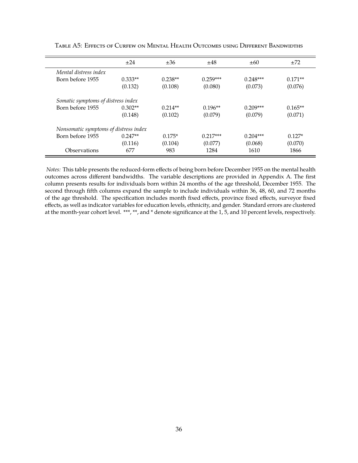<span id="page-36-0"></span>

|                                       | $\pm 24$  | ±36       | ±48        | $\pm 60$   | ±72       |
|---------------------------------------|-----------|-----------|------------|------------|-----------|
| Mental distress index                 |           |           |            |            |           |
| Born before 1955                      | $0.333**$ | $0.238**$ | $0.259***$ | $0.248***$ | $0.171**$ |
|                                       | (0.132)   | (0.108)   | (0.080)    | (0.073)    | (0.076)   |
| Somatic symptoms of distress index    |           |           |            |            |           |
| Born before 1955                      | $0.302**$ | $0.214**$ | $0.196**$  | $0.209***$ | $0.165**$ |
|                                       | (0.148)   | (0.102)   | (0.079)    | (0.079)    | (0.071)   |
| Nonsomatic symptoms of distress index |           |           |            |            |           |
| Born before 1955                      | $0.247**$ | $0.175*$  | $0.217***$ | $0.204***$ | $0.127*$  |
|                                       | (0.116)   | (0.104)   | (0.077)    | (0.068)    | (0.070)   |
| Observations                          | 677       | 983       | 1284       | 1610       | 1866      |

Table A5: Effects of Curfew on Mental Health Outcomes using Different Bandwidths

*Notes:* This table presents the reduced-form effects of being born before December 1955 on the mental health outcomes across different bandwidths. The variable descriptions are provided in Appendix A. The first column presents results for individuals born within 24 months of the age threshold, December 1955. The second through fifth columns expand the sample to include individuals within 36, 48, 60, and 72 months of the age threshold. The specification includes month fixed effects, province fixed effects, surveyor fixed effects, as well as indicator variables for education levels, ethnicity, and gender. Standard errors are clustered at the month-year cohort level. \*\*\*, \*\*, and \* denote significance at the 1, 5, and 10 percent levels, respectively.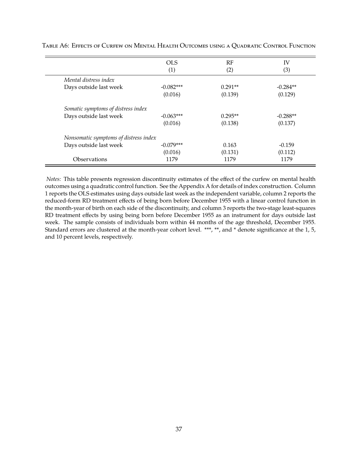<span id="page-37-0"></span>

|                                       | <b>OLS</b>  | RF        | IV         |
|---------------------------------------|-------------|-----------|------------|
|                                       | (1)         | (2)       | (3)        |
| Mental distress index                 |             |           |            |
| Days outside last week                | $-0.082***$ | $0.291**$ | $-0.284**$ |
|                                       | (0.016)     | (0.139)   | (0.129)    |
| Somatic symptoms of distress index    |             |           |            |
| Days outside last week                | $-0.063***$ | $0.295**$ | $-0.288**$ |
|                                       | (0.016)     | (0.138)   | (0.137)    |
| Nonsomatic symptoms of distress index |             |           |            |
| Days outside last week                | $-0.079***$ | 0.163     | $-0.159$   |
|                                       | (0.016)     | (0.131)   | (0.112)    |
| Observations                          | 1179        | 1179      | 1179       |

Table A6: Effects of Curfew on Mental Health Outcomes using a Quadratic Control Function

*Notes:* This table presents regression discontinuity estimates of the effect of the curfew on mental health outcomes using a quadratic control function. See the Appendix A for details of index construction. Column 1 reports the OLS estimates using days outside last week as the independent variable, column 2 reports the reduced-form RD treatment effects of being born before December 1955 with a linear control function in the month-year of birth on each side of the discontinuity, and column 3 reports the two-stage least-squares RD treatment effects by using being born before December 1955 as an instrument for days outside last week. The sample consists of individuals born within 44 months of the age threshold, December 1955. Standard errors are clustered at the month-year cohort level. \*\*\*, \*\*, and \* denote significance at the 1, 5, and 10 percent levels, respectively.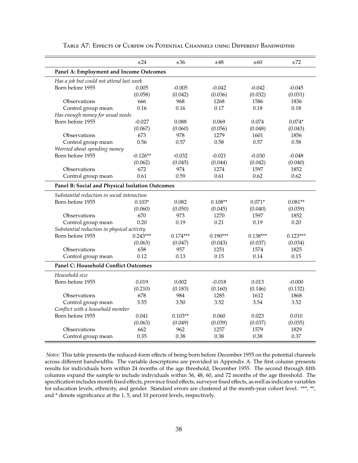<span id="page-38-0"></span>

|                                                                | $\pm 24$   | ±36            | ±48             | $\pm 60$        | $\pm 72$        |
|----------------------------------------------------------------|------------|----------------|-----------------|-----------------|-----------------|
| Panel A: Employment and Income Outcomes                        |            |                |                 |                 |                 |
| Has a job but could not attend last week                       |            |                |                 |                 |                 |
| Born before 1955                                               | 0.005      | $-0.005$       | $-0.042$        | $-0.042$        | $-0.045$        |
|                                                                | (0.058)    | (0.042)        | (0.036)         | (0.032)         | (0.031)         |
| Observations                                                   | 666        | 968            | 1268            | 1586            | 1836            |
| Control group mean                                             | 0.16       | 0.16           | 0.17            | 0.18            | 0.18            |
| Has enough money for usual needs                               |            |                |                 |                 |                 |
| Born before 1955                                               | $-0.027$   | 0.088          | 0.069           | 0.074           | $0.074*$        |
|                                                                | (0.067)    | (0.060)        | (0.056)         | (0.048)         | (0.043)         |
| Observations                                                   | 673        | 978            | 1279            | 1601            | 1856            |
| Control group mean                                             | 0.56       | 0.57           | 0.58            | 0.57            | 0.58            |
| Worried about spending money                                   |            |                |                 |                 |                 |
| Born before 1955                                               | $-0.126**$ | $-0.032$       | $-0.021$        | $-0.030$        | $-0.048$        |
|                                                                | (0.062)    | (0.045)        | (0.044)         | (0.042)         | (0.040)         |
| Observations                                                   | 672        | 974            | 1274            | 1597            | 1852            |
| Control group mean                                             | 0.61       | 0.59           | 0.61            | 0.62            | 0.62            |
| Panel B: Social and Physical Isolation Outcomes                |            |                |                 |                 |                 |
| Substantial reduction in social interaction                    |            |                |                 |                 |                 |
| Born before 1955                                               | $0.103*$   | 0.082          | $0.108**$       | $0.071*$        | $0.081**$       |
|                                                                | (0.060)    | (0.050)        |                 |                 |                 |
| Observations                                                   | 670        | 973            | (0.045)<br>1270 | (0.040)<br>1597 | (0.039)<br>1852 |
|                                                                | 0.20       | 0.19           | 0.21            | 0.19            | 0.20            |
| Control group mean                                             |            |                |                 |                 |                 |
| Substantial reduction in physical activity<br>Born before 1955 | $0.243***$ | $0.174***$     | $0.190***$      | $0.138***$      | $0.123***$      |
|                                                                | (0.063)    |                |                 |                 |                 |
| Observations                                                   | 658        | (0.047)<br>957 | (0.043)<br>1251 | (0.037)<br>1574 | (0.034)<br>1825 |
|                                                                | 0.12       | 0.13           | 0.15            | 0.14            | 0.15            |
| Control group mean                                             |            |                |                 |                 |                 |
| <b>Panel C: Household Conflict Outcomes</b>                    |            |                |                 |                 |                 |
| Household size                                                 |            |                |                 |                 |                 |
| Born before 1955                                               | 0.019      | 0.002          | $-0.018$        | 0.013           | $-0.000$        |
|                                                                | (0.210)    | (0.183)        | (0.160)         | (0.146)         | (0.132)         |
| Observations                                                   | 678        | 984            | 1285            | 1612            | 1868            |
| Control group mean                                             | 3.55       | 3.50           | 3.52            | 3.54            | 3.52            |
| Conflict with a household member                               |            |                |                 |                 |                 |
| Born before 1955                                               | 0.041      | $0.103**$      | 0.060           | 0.023           | 0.010           |
|                                                                | (0.063)    | (0.049)        | (0.039)         | (0.037)         | (0.035)         |
| Observations                                                   | 662        | 962            | 1257            | 1579            | 1829            |
| Control group mean                                             | 0.35       | 0.38           | 0.38            | 0.38            | 0.37            |

#### Table A7: Effects of Curfew on Potential Channels using Different Bandwidths

*Notes:* This table presents the reduced-form effects of being born before December 1955 on the potential channels across different bandwidths. The variable descriptions are provided in Appendix A. The first column presents results for individuals born within 24 months of the age threshold, December 1955. The second through fifth columns expand the sample to include individuals within 36, 48, 60, and 72 months of the age threshold. The specification includes month fixed effects, province fixed effects, surveyor fixed effects, as well as indicator variables for education levels, ethnicity, and gender. Standard errors are clustered at the month-year cohort level. \*\*\*, \*\*, and \* denote significance at the 1, 5, and 10 percent levels, respectively.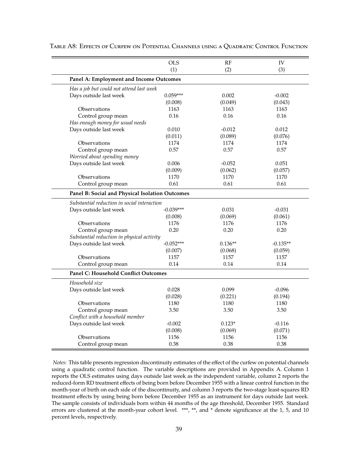<span id="page-39-0"></span>

|                                                 | <b>OLS</b>  | RF        | IV         |
|-------------------------------------------------|-------------|-----------|------------|
|                                                 | (1)         | (2)       | (3)        |
| Panel A: Employment and Income Outcomes         |             |           |            |
| Has a job but could not attend last week        |             |           |            |
| Days outside last week                          | $0.059***$  | 0.002     | $-0.002$   |
|                                                 | (0.008)     | (0.049)   | (0.043)    |
| Observations                                    | 1163        | 1163      | 1163       |
| Control group mean                              | 0.16        | 0.16      | 0.16       |
| Has enough money for usual needs                |             |           |            |
| Days outside last week                          | 0.010       | $-0.012$  | 0.012      |
|                                                 | (0.011)     | (0.089)   | (0.076)    |
| Observations                                    | 1174        | 1174      | 1174       |
| Control group mean                              | 0.57        | 0.57      | 0.57       |
| Worried about spending money                    |             |           |            |
| Days outside last week                          | 0.006       | $-0.052$  | 0.051      |
|                                                 | (0.009)     | (0.062)   | (0.057)    |
| Observations                                    | 1170        | 1170      | 1170       |
| Control group mean                              | 0.61        | 0.61      | 0.61       |
| Panel B: Social and Physical Isolation Outcomes |             |           |            |
| Substantial reduction in social interaction     |             |           |            |
| Days outside last week                          | $-0.039***$ | 0.031     | $-0.031$   |
|                                                 | (0.008)     | (0.069)   | (0.061)    |
| Observations                                    | 1176        | 1176      | 1176       |
| Control group mean                              | 0.20        | 0.20      | 0.20       |
| Substantial reduction in physical activity      |             |           |            |
| Days outside last week                          | $-0.052***$ | $0.136**$ | $-0.135**$ |
|                                                 | (0.007)     | (0.068)   | (0.059)    |
| Observations                                    | 1157        | 1157      | 1157       |
| Control group mean                              | 0.14        | 0.14      | 0.14       |
| <b>Panel C: Household Conflict Outcomes</b>     |             |           |            |
| Household size                                  |             |           |            |
| Days outside last week                          | 0.028       | 0.099     | $-0.096$   |
|                                                 | (0.028)     | (0.221)   | (0.194)    |
| Observations                                    | 1180        | 1180      | 1180       |
| Control group mean                              | 3.50        | 3.50      | 3.50       |
| Conflict with a household member                |             |           |            |
| Days outside last week                          | $-0.002$    | $0.123*$  | $-0.116$   |
|                                                 | (0.008)     | (0.069)   | (0.071)    |
| Observations                                    | 1156        | 1156      | 1156       |
| Control group mean                              | 0.38        | 0.38      | 0.38       |

Table A8: Effects of Curfew on Potential Channels using a Quadratic Control Function

*Notes:* This table presents regression discontinuity estimates of the effect of the curfew on potential channels using a quadratic control function. The variable descriptions are provided in Appendix A. Column 1 reports the OLS estimates using days outside last week as the independent variable, column 2 reports the reduced-form RD treatment effects of being born before December 1955 with a linear control function in the month-year of birth on each side of the discontinuity, and column 3 reports the two-stage least-squares RD treatment effects by using being born before December 1955 as an instrument for days outside last week. The sample consists of individuals born within 44 months of the age threshold, December 1955. Standard errors are clustered at the month-year cohort level. \*\*\*, \*\*, and \* denote significance at the 1, 5, and 10 percent levels, respectively.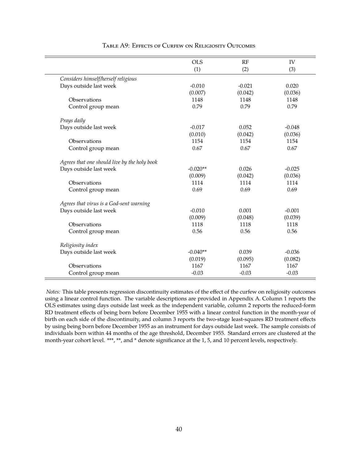<span id="page-40-0"></span>

|                                              | <b>OLS</b> | RF       | <b>IV</b> |
|----------------------------------------------|------------|----------|-----------|
|                                              | (1)        | (2)      | (3)       |
| Considers himself/herself religious          |            |          |           |
| Days outside last week                       | $-0.010$   | $-0.021$ | 0.020     |
|                                              | (0.007)    | (0.042)  | (0.036)   |
| Observations                                 | 1148       | 1148     | 1148      |
| Control group mean                           | 0.79       | 0.79     | 0.79      |
| Prays daily                                  |            |          |           |
| Days outside last week                       | $-0.017$   | 0.052    | $-0.048$  |
|                                              | (0.010)    | (0.042)  | (0.036)   |
| Observations                                 | 1154       | 1154     | 1154      |
| Control group mean                           | 0.67       | 0.67     | 0.67      |
| Agrees that one should live by the holy book |            |          |           |
| Days outside last week                       | $-0.020**$ | 0.026    | $-0.025$  |
|                                              | (0.009)    | (0.042)  | (0.036)   |
| Observations                                 | 1114       | 1114     | 1114      |
| Control group mean                           | 0.69       | 0.69     | 0.69      |
| Agrees that virus is a God-sent warning      |            |          |           |
| Days outside last week                       | $-0.010$   | 0.001    | $-0.001$  |
|                                              | (0.009)    | (0.048)  | (0.039)   |
| Observations                                 | 1118       | 1118     | 1118      |
| Control group mean                           | 0.56       | 0.56     | 0.56      |
| Religiosity index                            |            |          |           |
| Days outside last week                       | $-0.040**$ | 0.039    | $-0.036$  |
|                                              | (0.019)    | (0.095)  | (0.082)   |
| Observations                                 | 1167       | 1167     | 1167      |
| Control group mean                           | $-0.03$    | $-0.03$  | $-0.03$   |

#### Table A9: Effects of Curfew on Religiosity Outcomes

*Notes:* This table presents regression discontinuity estimates of the effect of the curfew on religiosity outcomes using a linear control function. The variable descriptions are provided in Appendix A. Column 1 reports the OLS estimates using days outside last week as the independent variable, column 2 reports the reduced-form RD treatment effects of being born before December 1955 with a linear control function in the month-year of birth on each side of the discontinuity, and column 3 reports the two-stage least-squares RD treatment effects by using being born before December 1955 as an instrument for days outside last week. The sample consists of individuals born within 44 months of the age threshold, December 1955. Standard errors are clustered at the month-year cohort level. \*\*\*, \*\*, and \* denote significance at the 1, 5, and 10 percent levels, respectively.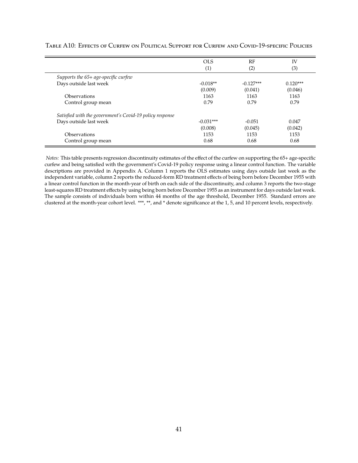<span id="page-41-0"></span>

|                                                          | OLS         | RF                | <b>IV</b>  |
|----------------------------------------------------------|-------------|-------------------|------------|
|                                                          | (1)         | $\left( 2\right)$ | (3)        |
| Supports the 65+ age-specific curfew                     |             |                   |            |
| Days outside last week                                   | $-0.018**$  | $-0.127***$       | $0.120***$ |
|                                                          | (0.009)     | (0.041)           | (0.046)    |
| Observations                                             | 1163        | 1163              | 1163       |
| Control group mean                                       | 0.79        | 0.79              | 0.79       |
| Satisfied with the government's Covid-19 policy response |             |                   |            |
| Days outside last week                                   | $-0.031***$ | $-0.051$          | 0.047      |
|                                                          | (0.008)     | (0.045)           | (0.042)    |
| Observations                                             | 1153        | 1153              | 1153       |
| Control group mean                                       | 0.68        | 0.68              | 0.68       |

#### Table A10: Effects of Curfew on Political Support for Curfew and Covid-19-specific Policies

*Notes:* This table presents regression discontinuity estimates of the effect of the curfew on supporting the 65+ age-specific curfew and being satisfied with the government's Covid-19 policy response using a linear control function. The variable descriptions are provided in Appendix A. Column 1 reports the OLS estimates using days outside last week as the independent variable, column 2 reports the reduced-form RD treatment effects of being born before December 1955 with a linear control function in the month-year of birth on each side of the discontinuity, and column 3 reports the two-stage least-squares RD treatment effects by using being born before December 1955 as an instrument for days outside last week. The sample consists of individuals born within 44 months of the age threshold, December 1955. Standard errors are clustered at the month-year cohort level. \*\*\*, \*\*, and \* denote significance at the 1, 5, and 10 percent levels, respectively.